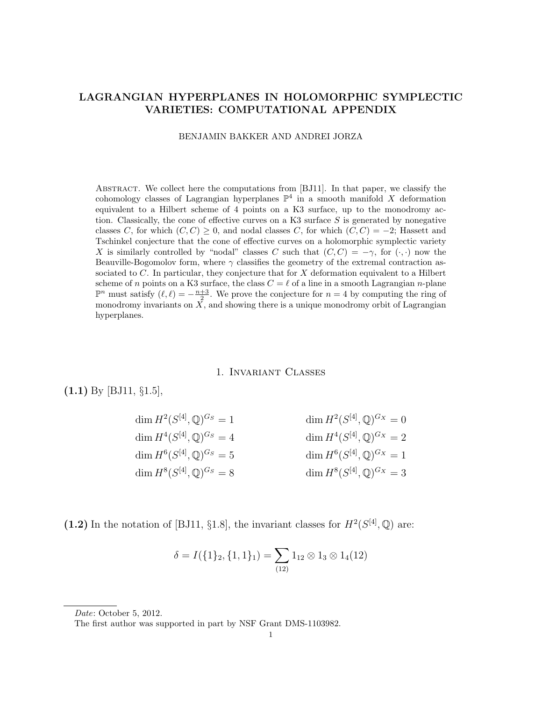#### LAGRANGIAN HYPERPLANES IN HOLOMORPHIC SYMPLECTIC VARIETIES: COMPUTATIONAL APPENDIX

BENJAMIN BAKKER AND ANDREI JORZA

Abstract. We collect here the computations from [BJ11]. In that paper, we classify the cohomology classes of Lagrangian hyperplanes  $\mathbb{P}^4$  in a smooth manifold X deformation equivalent to a Hilbert scheme of 4 points on a K3 surface, up to the monodromy action. Classically, the cone of effective curves on a K3 surface  $S$  is generated by nonegative classes C, for which  $(C, C) > 0$ , and nodal classes C, for which  $(C, C) = -2$ ; Hassett and Tschinkel conjecture that the cone of effective curves on a holomorphic symplectic variety X is similarly controlled by "nodal" classes C such that  $(C, C) = -\gamma$ , for  $(\cdot, \cdot)$  now the Beauville-Bogomolov form, where  $\gamma$  classifies the geometry of the extremal contraction associated to  $C$ . In particular, they conjecture that for  $X$  deformation equivalent to a Hilbert scheme of n points on a K3 surface, the class  $C = \ell$  of a line in a smooth Lagrangian n-plane  $\mathbb{P}^n$  must satisfy  $(\ell, \ell) = -\frac{n+3}{2}$ . We prove the conjecture for  $n = 4$  by computing the ring of monodromy invariants on  $X$ , and showing there is a unique monodromy orbit of Lagrangian hyperplanes.

#### 1. Invariant Classes

(1.1) By [BJ11, §1.5],

| dim $H^2(S^{[4]}, \mathbb{Q})^{G_S} = 1$    | dim $H^2(S^{[4]}, \mathbb{Q})^{G_X} = 0$   |
|---------------------------------------------|--------------------------------------------|
| dim $H^4(S^{[4]}, \mathbb{Q})^{G_S} = 4$    | dim $H^4(S^{[4]}, \mathbb{Q})^{G_X} = 2$   |
| dim $H^{6}(S^{[4]}, \mathbb{Q})^{G_S} = 5$  | dim $H^{6}(S^{[4]}, \mathbb{Q})^{G_X} = 1$ |
| $\dim H^{8}(S^{[4]}, \mathbb{Q})^{G_S} = 8$ | $\dim H^{8}(S^{[4]}, \mathbb{Q})^{G_X}=3$  |

(1.2) In the notation of [BJ11, §1.8], the invariant classes for  $H^2(S^{[4]},{\mathbb Q})$  are:

$$
\delta = I(\{1\}_2, \{1, 1\}_1) = \sum_{(12)} 1_{12} \otimes 1_3 \otimes 1_4(12)
$$

Date: October 5, 2012.

The first author was supported in part by NSF Grant DMS-1103982.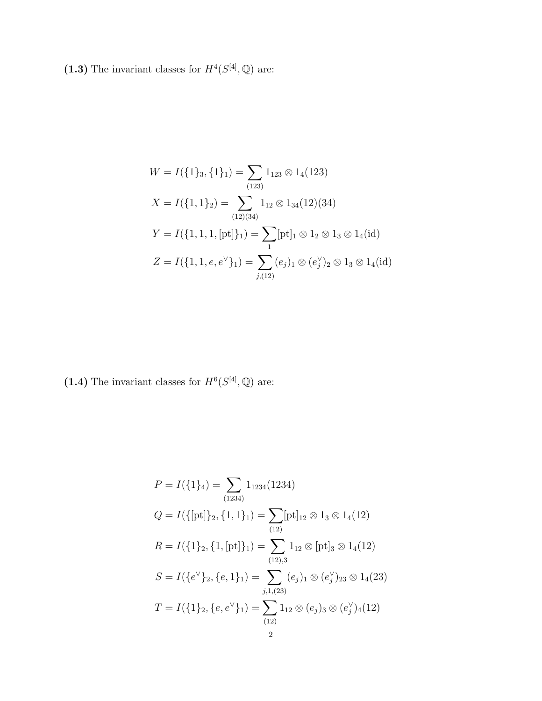(1.3) The invariant classes for  $H^4(S^{[4]},{\mathbb Q})$  are:

$$
W = I(\{1\}_3, \{1\}_1) = \sum_{(123)} 1_{123} \otimes 1_4(123)
$$
  
\n
$$
X = I(\{1, 1\}_2) = \sum_{(12)(34)} 1_{12} \otimes 1_{34}(12)(34)
$$
  
\n
$$
Y = I(\{1, 1, 1, [pt]\}_1) = \sum_{1} [pt]_1 \otimes 1_2 \otimes 1_3 \otimes 1_4(id)
$$
  
\n
$$
Z = I(\{1, 1, e, e^{\vee}\}_1) = \sum_{j,(12)} (e_j)_1 \otimes (e_j^{\vee})_2 \otimes 1_3 \otimes 1_4(id)
$$

(1.4) The invariant classes for  $H^6(S^{[4]},{\mathbb Q})$  are:

$$
P = I(\{1\}_4) = \sum_{(1234)} 1_{1234}(1234)
$$
  
\n
$$
Q = I(\{[pt]\}_2, \{1, 1\}_1) = \sum_{(12)} [pt]_{12} \otimes 1_3 \otimes 1_4(12)
$$
  
\n
$$
R = I(\{1\}_2, \{1, [pt]\}_1) = \sum_{(12),3} 1_{12} \otimes [pt]_3 \otimes 1_4(12)
$$
  
\n
$$
S = I(\{e^{\vee}\}_2, \{e, 1\}_1) = \sum_{j,1,(23)} (e_j)_1 \otimes (e_j^{\vee})_{23} \otimes 1_4(23)
$$
  
\n
$$
T = I(\{1\}_2, \{e, e^{\vee}\}_1) = \sum_{(12)} 1_{12} \otimes (e_j)_3 \otimes (e_j^{\vee})_4(12)
$$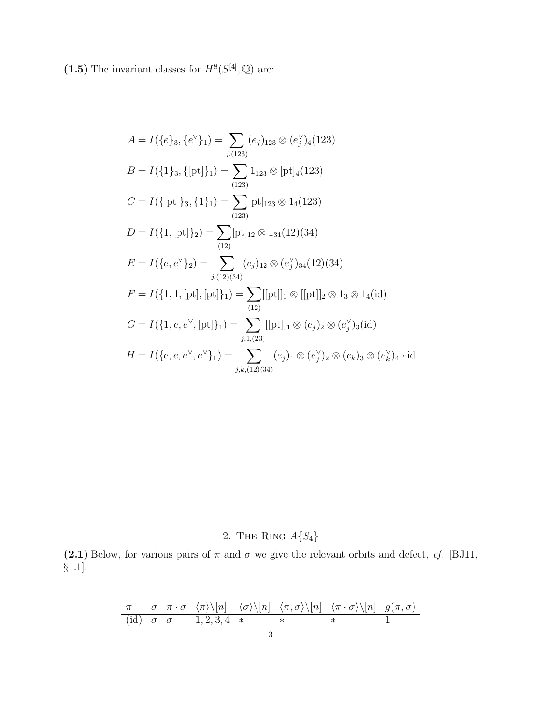(1.5) The invariant classes for  $H^8(S^{[4]},{\mathbb Q})$  are:

$$
A = I(\{e\}_3, \{e^{\vee}\}_1) = \sum_{j,(123)} (e_j)_{123} \otimes (e_j^{\vee})_4(123)
$$
  
\n
$$
B = I(\{1\}_3, \{[\text{pt}]\}_1) = \sum_{(123)} 1_{123} \otimes [\text{pt}]_4(123)
$$
  
\n
$$
C = I(\{[\text{pt}]\}_3, \{1\}_1) = \sum_{(123)} [\text{pt}]_{123} \otimes 1_4(123)
$$
  
\n
$$
D = I(\{1, [\text{pt}]\}_2) = \sum_{(12)} [\text{pt}]_{12} \otimes 1_{34}(12)(34)
$$
  
\n
$$
E = I(\{e, e^{\vee}\}_2) = \sum_{j,(12)(34)} (e_j)_{12} \otimes (e_j^{\vee})_{34}(12)(34)
$$
  
\n
$$
F = I(\{1, 1, [\text{pt}], [\text{pt}]\}_1) = \sum_{(12)} [[\text{pt}]]_1 \otimes [[\text{pt}]]_2 \otimes 1_3 \otimes 1_4(\text{id})
$$
  
\n
$$
G = I(\{1, e, e^{\vee}, [\text{pt}]\}_1) = \sum_{j,1,(23)} [[\text{pt}]]_1 \otimes (e_j)_2 \otimes (e_j^{\vee})_3(\text{id})
$$
  
\n
$$
H = I(\{e, e, e^{\vee}, e^{\vee}\}_1) = \sum_{j,k,(12)(34)} (e_j)_1 \otimes (e_j^{\vee})_2 \otimes (e_k)_3 \otimes (e_k^{\vee})_4 \cdot \text{id}
$$

# 2. THE RING  $A{S_4}$

(2.1) Below, for various pairs of  $\pi$  and  $\sigma$  we give the relevant orbits and defect, cf. [BJ11, §1.1]:

$$
\frac{\pi}{(\text{id})} \quad \frac{\sigma}{\sigma} \quad \frac{\pi \cdot \sigma}{1,2,3,4} \quad \frac{\langle \sigma \rangle \setminus [n]}{\ast} \quad \frac{\langle \pi, \sigma \rangle \setminus [n]}{\ast} \quad \frac{\langle \pi \cdot \sigma \rangle \setminus [n]}{1,2,3,4} \quad \frac{\langle \pi, \sigma \rangle \setminus [n]}{\ast} \quad \frac{g(\pi, \sigma)}{1}
$$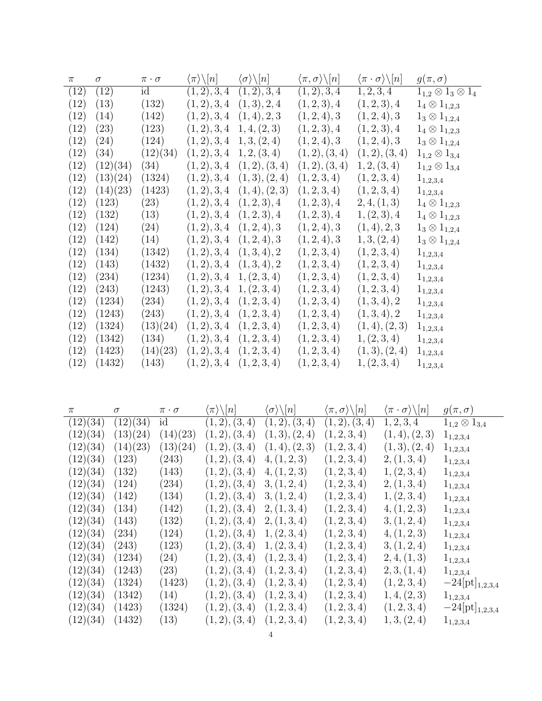| $\pi$             | $\sigma$           | $\pi\cdot\sigma$ | $\langle \pi \rangle \backslash [n]$ | $\langle \sigma \rangle \backslash [n]$ | $\langle \pi, \sigma \rangle \backslash [n]$ | $\langle \pi \cdot \sigma \rangle \backslash [n]$ | $g(\pi,\sigma)$                 |
|-------------------|--------------------|------------------|--------------------------------------|-----------------------------------------|----------------------------------------------|---------------------------------------------------|---------------------------------|
| (12)              | (12)               | id               | (1, 2), 3, 4                         | (1, 2), 3, 4                            | (1, 2), 3, 4                                 | 1, 2, 3, 4                                        | $1_{1,2}\otimes 1_3\otimes 1_4$ |
| (12)              | (13)               | (132)            | (1, 2), 3, 4                         | (1,3), 2, 4                             | (1, 2, 3), 4                                 | (1, 2, 3), 4                                      | $1_4 \otimes 1_{1,2,3}$         |
| (12)              | (14)               | (142)            | (1, 2), 3, 4                         | (1,4), 2, 3                             | (1, 2, 4), 3                                 | (1, 2, 4), 3                                      | $1_3 \otimes 1_{1,2,4}$         |
| (12)              | $\left( 23\right)$ | (123)            | (1, 2), 3, 4                         | 1, 4, (2, 3)                            | (1, 2, 3), 4                                 | (1, 2, 3), 4                                      | $1_4 \otimes 1_{1,2,3}$         |
| (12)              | (24)               | (124)            | (1, 2), 3, 4                         | 1, 3, (2, 4)                            | (1, 2, 4), 3                                 | (1, 2, 4), 3                                      | $1_3 \otimes 1_{1,2,4}$         |
| (12)              | (34)               | (12)(34)         | (1, 2), 3, 4                         | 1, 2, (3, 4)                            | (1, 2), (3, 4)                               | (1,2), (3,4)                                      | $1_{1,2} \otimes 1_{3,4}$       |
| (12)              | (12)(34)           | (34)             | (1, 2), 3, 4                         | (1,2), (3,4)                            | (1, 2), (3, 4)                               | 1, 2, (3, 4)                                      | $1_{1,2} \otimes 1_{3,4}$       |
| (12)              | (13)(24)           | (1324)           | (1, 2), 3, 4                         | (1,3), (2,4)                            | (1, 2, 3, 4)                                 | (1, 2, 3, 4)                                      | $1_{1,2,3,4}$                   |
| (12)              | (14)(23)           | (1423)           | (1, 2), 3, 4                         | (1,4), (2,3)                            | (1, 2, 3, 4)                                 | (1, 2, 3, 4)                                      | $1_{1,2,3,4}$                   |
| $\left(12\right)$ | (123)              | (23)             | (1, 2), 3, 4                         | (1, 2, 3), 4                            | (1, 2, 3), 4                                 | 2, 4, (1, 3)                                      | $1_4 \otimes 1_{1,2,3}$         |
| $\left(12\right)$ | (132)              | (13)             | (1,2), 3, 4                          | (1, 2, 3), 4                            | (1, 2, 3), 4                                 | 1, (2, 3), 4                                      | $1_4 \otimes 1_{1,2,3}$         |
| (12)              | (124)              | (24)             | (1, 2), 3, 4                         | (1, 2, 4), 3                            | (1, 2, 4), 3                                 | (1,4), 2, 3                                       | $1_3 \otimes 1_{1,2,4}$         |
| (12)              | (142)              | (14)             | (1, 2), 3, 4                         | (1, 2, 4), 3                            | (1, 2, 4), 3                                 | 1, 3, (2, 4)                                      | $1_3 \otimes 1_{1,2,4}$         |
| (12)              | (134)              | (1342)           | (1, 2), 3, 4                         | (1,3,4), 2                              | (1, 2, 3, 4)                                 | (1, 2, 3, 4)                                      | $1_{1,2,3,4}$                   |
| (12)              | (143)              | (1432)           | (1, 2), 3, 4                         | (1,3,4), 2                              | (1, 2, 3, 4)                                 | (1, 2, 3, 4)                                      | $1_{1,2,3,4}$                   |
| (12)              | (234)              | (1234)           | (1, 2), 3, 4                         | 1, (2, 3, 4)                            | (1, 2, 3, 4)                                 | (1, 2, 3, 4)                                      | $1_{1,2,3,4}$                   |
| (12)              | (243)              | (1243)           | (1, 2), 3, 4                         | 1, (2, 3, 4)                            | (1, 2, 3, 4)                                 | (1, 2, 3, 4)                                      | $1_{1,2,3,4}$                   |
| (12)              | (1234)             | (234)            | (1, 2), 3, 4                         | (1, 2, 3, 4)                            | (1, 2, 3, 4)                                 | (1,3,4), 2                                        | $1_{1,2,3,4}$                   |
| (12)              | (1243)             | (243)            | (1, 2), 3, 4                         | (1, 2, 3, 4)                            | (1, 2, 3, 4)                                 | (1,3,4), 2                                        | $1_{1,2,3,4}$                   |
| (12)              | (1324)             | (13)(24)         | (1, 2), 3, 4                         | (1, 2, 3, 4)                            | (1, 2, 3, 4)                                 | (1,4), (2,3)                                      | $1_{1,2,3,4}$                   |
| (12)              | (1342)             | (134)            | (1, 2), 3, 4                         | (1, 2, 3, 4)                            | (1, 2, 3, 4)                                 | 1, (2, 3, 4)                                      | $1_{1,2,3,4}$                   |
| (12)              | (1423)             | (14)(23)         | (1, 2), 3, 4                         | (1, 2, 3, 4)                            | (1, 2, 3, 4)                                 | (1,3), (2,4)                                      | $1_{1,2,3,4}$                   |
| (12)              | (1432)             | (143)            | (1, 2), 3, 4                         | (1, 2, 3, 4)                            | (1, 2, 3, 4)                                 | 1, (2, 3, 4)                                      | $1_{1,2,3,4}$                   |

| $\pi$    | $\sigma$ | $\pi\cdot\sigma$    | $\langle \pi \rangle \backslash [n]$ | $\langle \sigma \rangle \backslash [n]$ | $\langle \pi, \sigma \rangle \backslash [n]$ | $\langle \pi \cdot \sigma \rangle \backslash [n]$ | $g(\pi,\sigma)$           |
|----------|----------|---------------------|--------------------------------------|-----------------------------------------|----------------------------------------------|---------------------------------------------------|---------------------------|
| (12)(34) | (12)(34) | id                  | (1, 2), (3, 4)                       | (1, 2), (3, 4)                          | (1, 2), (3, 4)                               | 1, 2, 3, 4                                        | $1_{1,2} \otimes 1_{3,4}$ |
| (12)(34) | (13)(24) | (14)(23)            | (1, 2), (3, 4)                       | (1,3), (2,4)                            | (1, 2, 3, 4)                                 | (1,4), (2,3)                                      | $1_{1,2,3,4}$             |
| (12)(34) | (14)(23) | (13)(24)            | (1, 2), (3, 4)                       | (1,4), (2,3)                            | (1, 2, 3, 4)                                 | (1,3), (2,4)                                      | $1_{1,2,3,4}$             |
| (12)(34) | (123)    | $\left( 243\right)$ | (1, 2), (3, 4)                       | 4, (1, 2, 3)                            | (1, 2, 3, 4)                                 | 2, (1,3,4)                                        | $1_{1,2,3,4}$             |
| (12)(34) | (132)    | (143)               | (1, 2), (3, 4)                       | 4, (1, 2, 3)                            | (1, 2, 3, 4)                                 | 1, (2, 3, 4)                                      | $1_{1,2,3,4}$             |
| (12)(34) | (124)    | $\left( 234\right)$ | (1, 2), (3, 4)                       | 3, (1, 2, 4)                            | (1, 2, 3, 4)                                 | 2, (1,3,4)                                        | $1_{1,2,3,4}$             |
| (12)(34) | (142)    | (134)               | (1, 2), (3, 4)                       | 3, (1, 2, 4)                            | (1, 2, 3, 4)                                 | 1, (2, 3, 4)                                      | $1_{1,2,3,4}$             |
| (12)(34) | (134)    | (142)               | (1,2), (3,4)                         | 2, (1,3,4)                              | (1, 2, 3, 4)                                 | 4, (1, 2, 3)                                      | $1_{1,2,3,4}$             |
| (12)(34) | (143)    | (132)               | (1, 2), (3, 4)                       | 2, (1,3,4)                              | (1, 2, 3, 4)                                 | 3, (1, 2, 4)                                      | $1_{1,2,3,4}$             |
| (12)(34) | (234)    | (124)               | (1,2), (3,4)                         | 1, (2, 3, 4)                            | (1, 2, 3, 4)                                 | 4, (1, 2, 3)                                      | $1_{1,2,3,4}$             |
| (12)(34) | (243)    | (123)               | (1, 2), (3, 4)                       | 1, (2, 3, 4)                            | (1, 2, 3, 4)                                 | 3, (1, 2, 4)                                      | $1_{1,2,3,4}$             |
| (12)(34) | (1234)   | (24)                | (1,2), (3,4)                         | (1, 2, 3, 4)                            | (1, 2, 3, 4)                                 | 2, 4, (1, 3)                                      | $1_{1,2,3,4}$             |
| (12)(34) | (1243)   | (23)                | (1,2), (3,4)                         | (1, 2, 3, 4)                            | (1, 2, 3, 4)                                 | 2, 3, (1, 4)                                      | $1_{1,2,3,4}$             |
| (12)(34) | (1324)   | (1423)              | (1, 2), (3, 4)                       | (1, 2, 3, 4)                            | (1, 2, 3, 4)                                 | (1, 2, 3, 4)                                      | $-24[pt]_{1,2,3,4}$       |
| (12)(34) | (1342)   | (14)                | (1, 2), (3, 4)                       | (1, 2, 3, 4)                            | (1, 2, 3, 4)                                 | 1, 4, (2, 3)                                      | $1_{1,2,3,4}$             |
| (12)(34) | (1423)   | (1324)              | (1, 2), (3, 4)                       | (1, 2, 3, 4)                            | (1, 2, 3, 4)                                 | (1, 2, 3, 4)                                      | $-24[pt]_{1,2,3,4}$       |
| (12)(34) | (1432)   | (13)                | (1, 2), (3, 4)                       | (1, 2, 3, 4)                            | (1, 2, 3, 4)                                 | 1, 3, (2, 4)                                      | $1_{1,2,3,4}$             |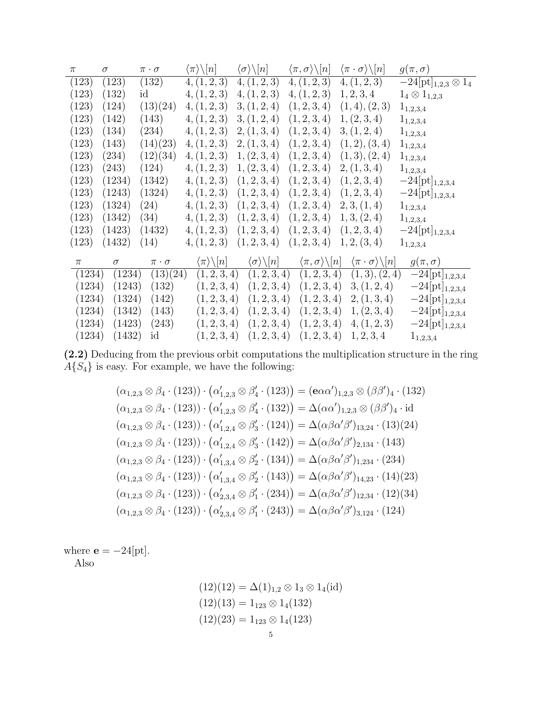| $\pi$  | $\sigma$ | $\pi \cdot \sigma$ | $\langle \pi \rangle \backslash [n]$ | $\langle \sigma \rangle \backslash [n]$ | $\langle \pi, \sigma \rangle \backslash [n]$ | $\langle \pi \cdot \sigma \rangle \backslash  n $ | $g(\pi,\sigma)$              |
|--------|----------|--------------------|--------------------------------------|-----------------------------------------|----------------------------------------------|---------------------------------------------------|------------------------------|
| (123)  | (123)    | (132)              | 4, (1, 2, 3)                         | 4, (1, 2, 3)                            | 4, (1, 2, 3)                                 | $\overline{4}, (1,2,3)$                           | $-24[pt]_{1,2,3}\otimes 1_4$ |
| (123)  | (132)    | id                 | 4, (1, 2, 3)                         | 4, (1, 2, 3)                            | 4, (1, 2, 3)                                 | 1, 2, 3, 4                                        | $1_4 \otimes 1_{1,2,3}$      |
| (123)  | (124)    | (13)(24)           | 4, (1, 2, 3)                         | 3, (1, 2, 4)                            | (1, 2, 3, 4)                                 | (1,4), (2,3)                                      | $1_{1,2,3,4}$                |
| (123)  | (142)    | (143)              | 4, (1, 2, 3)                         | 3, (1, 2, 4)                            | (1, 2, 3, 4)                                 | 1, (2, 3, 4)                                      | $1_{1,2,3,4}$                |
| (123)  | (134)    | (234)              | 4, (1, 2, 3)                         | 2, (1,3,4)                              | (1, 2, 3, 4)                                 | 3, (1, 2, 4)                                      | $1_{1,2,3,4}$                |
| (123)  | (143)    | (14)(23)           | 4, (1, 2, 3)                         | 2, (1, 3, 4)                            | (1, 2, 3, 4)                                 | (1, 2), (3, 4)                                    | $1_{1,2,3,4}$                |
| (123)  | (234)    | (12)(34)           | 4, (1, 2, 3)                         | 1, (2, 3, 4)                            | (1, 2, 3, 4)                                 | (1,3), (2,4)                                      | $1_{1,2,3,4}$                |
| (123)  | (243)    | (124)              | 4, (1, 2, 3)                         | 1, (2, 3, 4)                            | (1, 2, 3, 4)                                 | 2, (1, 3, 4)                                      | $1_{1,2,3,4}$                |
| (123)  | (1234)   | (1342)             | 4, (1, 2, 3)                         | (1, 2, 3, 4)                            | (1, 2, 3, 4)                                 | (1, 2, 3, 4)                                      | $-24[pt]_{1,2,3,4}$          |
| (123)  | (1243)   | (1324)             | 4, (1, 2, 3)                         | (1, 2, 3, 4)                            | (1, 2, 3, 4)                                 | (1, 2, 3, 4)                                      | $-24[pt]_{1,2,3,4}$          |
| (123)  | (1324)   | (24)               | 4, (1, 2, 3)                         | (1, 2, 3, 4)                            | (1, 2, 3, 4)                                 | 2, 3, (1, 4)                                      | $1_{1,2,3,4}$                |
| (123)  | (1342)   | (34)               | 4, (1, 2, 3)                         | (1, 2, 3, 4)                            | (1, 2, 3, 4)                                 | 1, 3, (2, 4)                                      | $1_{1,2,3,4}$                |
| (123)  | (1423)   | (1432)             | 4, (1, 2, 3)                         | (1, 2, 3, 4)                            | (1, 2, 3, 4)                                 | (1, 2, 3, 4)                                      | $-24[pt]_{1,2,3,4}$          |
| (123)  | (1432)   | (14)               | 4, (1, 2, 3)                         | (1, 2, 3, 4)                            | (1, 2, 3, 4)                                 | 1, 2, (3, 4)                                      | $1_{1,2,3,4}$                |
| $\pi$  | $\sigma$ | $\pi\cdot\sigma$   | $\langle \pi \rangle \backslash [n]$ | $\langle \sigma \rangle \backslash [n]$ | $\langle \pi, \sigma \rangle \backslash [n]$ | $\langle \pi \cdot \sigma \rangle \backslash [n]$ | $g(\pi,\sigma)$              |
| (1234) | (1234)   | (13)(24)           | (1, 2, 3, 4)                         | (1, 2, 3, 4)                            | (1, 2, 3, 4)                                 | (1,3), (2,4)                                      | $-24[pt]_{1,2,3,4}$          |
| (1234) | (1243)   | (132)              | (1, 2, 3, 4)                         | (1, 2, 3, 4)                            | (1, 2, 3, 4)                                 | 3, (1, 2, 4)                                      | $-24[pt]_{1,2,3,4}$          |
| (1234) | (1324)   | (142)              | (1, 2, 3, 4)                         | (1, 2, 3, 4)                            | (1, 2, 3, 4)                                 | 2, (1, 3, 4)                                      | $-24[pt]_{1,2,3,4}$          |
| (1234) | (1342)   | (143)              | (1, 2, 3, 4)                         | (1, 2, 3, 4)                            | (1, 2, 3, 4)                                 | 1, (2, 3, 4)                                      | $-24[\mathrm{pt}]_{1,2,3,4}$ |
| (1234) | (1423)   | (243)              | (1, 2, 3, 4)                         | (1, 2, 3, 4)                            | (1, 2, 3, 4)                                 | 4, (1, 2, 3)                                      | $-24[\mathrm{pt}]_{1,2,3,4}$ |
| (1234) | (1432)   | id                 | (1, 2, 3, 4)                         | (1, 2, 3, 4)                            | (1, 2, 3, 4)                                 | 1, 2, 3, 4                                        | $1_{1,2,3,4}$                |

(2.2) Deducing from the previous orbit computations the multiplication structure in the ring  $A\{S_4\}$  is easy. For example, we have the following:

$$
(\alpha_{1,2,3} \otimes \beta_4 \cdot (123)) \cdot (\alpha'_{1,2,3} \otimes \beta'_4 \cdot (123)) = (\mathbf{e}\alpha\alpha')_{1,2,3} \otimes (\beta\beta')_4 \cdot (132)
$$
  
\n
$$
(\alpha_{1,2,3} \otimes \beta_4 \cdot (123)) \cdot (\alpha'_{1,2,3} \otimes \beta'_4 \cdot (132)) = \Delta(\alpha\alpha')_{1,2,3} \otimes (\beta\beta')_4 \cdot id
$$
  
\n
$$
(\alpha_{1,2,3} \otimes \beta_4 \cdot (123)) \cdot (\alpha'_{1,2,4} \otimes \beta'_3 \cdot (124)) = \Delta(\alpha\beta\alpha'\beta')_{13,24} \cdot (13)(24)
$$
  
\n
$$
(\alpha_{1,2,3} \otimes \beta_4 \cdot (123)) \cdot (\alpha'_{1,2,4} \otimes \beta'_3 \cdot (142)) = \Delta(\alpha\beta\alpha'\beta')_{2,134} \cdot (143)
$$
  
\n
$$
(\alpha_{1,2,3} \otimes \beta_4 \cdot (123)) \cdot (\alpha'_{1,3,4} \otimes \beta'_2 \cdot (134)) = \Delta(\alpha\beta\alpha'\beta')_{1,234} \cdot (234)
$$
  
\n
$$
(\alpha_{1,2,3} \otimes \beta_4 \cdot (123)) \cdot (\alpha'_{1,3,4} \otimes \beta'_2 \cdot (143)) = \Delta(\alpha\beta\alpha'\beta')_{14,23} \cdot (14)(23)
$$
  
\n
$$
(\alpha_{1,2,3} \otimes \beta_4 \cdot (123)) \cdot (\alpha'_{2,3,4} \otimes \beta'_1 \cdot (234)) = \Delta(\alpha\beta\alpha'\beta')_{12,34} \cdot (12)(34)
$$
  
\n
$$
(\alpha_{1,2,3} \otimes \beta_4 \cdot (123)) \cdot (\alpha'_{2,3,4} \otimes \beta'_1 \cdot (243)) = \Delta(\alpha\beta\alpha'\beta')_{3,124} \cdot (124)
$$

where  $\mathbf{e} = -24[\text{pt}].$ Also

$$
(12)(12) = \Delta(1)_{1,2} \otimes 1_3 \otimes 1_4(\text{id})
$$

$$
(12)(13) = 1_{123} \otimes 1_4(132)
$$

$$
(12)(23) = 1_{123} \otimes 1_4(123)
$$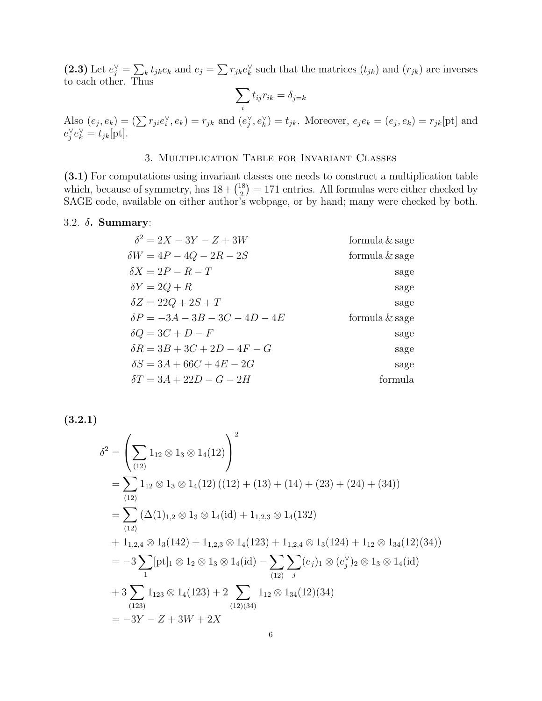(2.3) Let  $e_j^{\vee} = \sum_k t_{jk}e_k$  and  $e_j = \sum r_{jk}e_k^{\vee}$  such that the matrices  $(t_{jk})$  and  $(r_{jk})$  are inverses to each other. Thus

$$
\sum_i t_{ij} r_{ik} = \delta_{j=k}
$$

Also  $(e_j, e_k) = (\sum r_{ji}e_i^{\vee}, e_k) = r_{jk}$  and  $(e_j^{\vee}, e_k^{\vee}) = t_{jk}$ . Moreover,  $e_j e_k = (e_j, e_k) = r_{jk}$ [pt] and  $e_j^{\vee}e_k^{\vee} = t_{jk}[\text{pt}].$ 

### 3. Multiplication Table for Invariant Classes

(3.1) For computations using invariant classes one needs to construct a multiplication table which, because of symmetry, has  $18 + {18 \choose 2}$  $\binom{18}{2}$  = 171 entries. All formulas were either checked by SAGE code, available on either author's webpage, or by hand; many were checked by both.

#### 3.2. δ. Summary:

| $\delta^2 = 2X - 3Y - Z + 3W$        | formula $\&$ sage |
|--------------------------------------|-------------------|
| $\delta W = 4P - 4Q - 2R - 2S$       | formula $\&$ sage |
| $\delta X = 2P - R - T$              | sage              |
| $\delta Y = 2Q + R$                  | sage              |
| $\delta Z = 22Q + 2S + T$            | sage              |
| $\delta P = -3A - 3B - 3C - 4D - 4E$ | formula $\&$ sage |
| $\delta Q = 3C + D - F$              | sage              |
| $\delta R = 3B + 3C + 2D - 4F - G$   | sage              |
| $\delta S = 3A + 66C + 4E - 2G$      | sage              |
| $\delta T = 3A + 22D - G - 2H$       | formula           |

(3.2.1)

$$
\delta^{2} = \left(\sum_{(12)} 1_{12} \otimes 1_{3} \otimes 1_{4}(12)\right)^{2}
$$
  
=  $\sum_{(12)} 1_{12} \otimes 1_{3} \otimes 1_{4}(12) ((12) + (13) + (14) + (23) + (24) + (34))$   
=  $\sum_{(12)} (\Delta(1)_{1,2} \otimes 1_{3} \otimes 1_{4}(\text{id}) + 1_{1,2,3} \otimes 1_{4}(132)$   
+  $1_{1,2,4} \otimes 1_{3}(142) + 1_{1,2,3} \otimes 1_{4}(123) + 1_{1,2,4} \otimes 1_{3}(124) + 1_{12} \otimes 1_{34}(12)(34))$   
=  $-3 \sum_{1} [pt]_{1} \otimes 1_{2} \otimes 1_{3} \otimes 1_{4}(\text{id}) - \sum_{(12)} \sum_{j} (e_{j})_{1} \otimes (e_{j}^{V})_{2} \otimes 1_{3} \otimes 1_{4}(\text{id})$   
+  $3 \sum_{(123)} 1_{123} \otimes 1_{4}(123) + 2 \sum_{(12)(34)} 1_{12} \otimes 1_{34}(12)(34)$   
=  $-3Y - Z + 3W + 2X$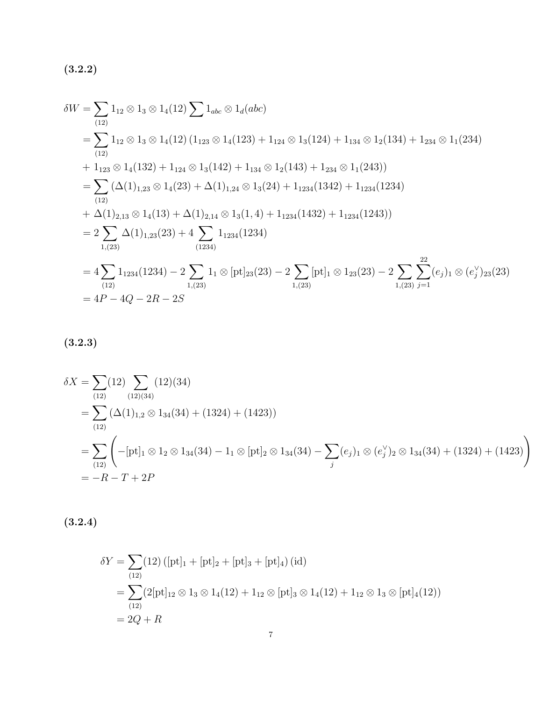$(3.2.2)$ 

$$
\delta W = \sum_{(12)} 1_{12} \otimes 1_3 \otimes 1_4(12) \sum 1_{abc} \otimes 1_d(abc)
$$
  
= 
$$
\sum_{(12)} 1_{12} \otimes 1_3 \otimes 1_4(12) (1_{123} \otimes 1_4(123) + 1_{124} \otimes 1_3(124) + 1_{134} \otimes 1_2(134) + 1_{234} \otimes 1_1(234)
$$
  
+ 
$$
1_{123} \otimes 1_4(132) + 1_{124} \otimes 1_3(142) + 1_{134} \otimes 1_2(143) + 1_{234} \otimes 1_1(243))
$$
  
= 
$$
\sum_{(12)} (\Delta(1)_{1,23} \otimes 1_4(23) + \Delta(1)_{1,24} \otimes 1_3(24) + 1_{1234}(1342) + 1_{1234}(1234)
$$
  
+ 
$$
\Delta(1)_{2,13} \otimes 1_4(13) + \Delta(1)_{2,14} \otimes 1_3(1,4) + 1_{1234}(1432) + 1_{1234}(1243))
$$
  
= 
$$
2 \sum_{1,(23)} \Delta(1)_{1,23}(23) + 4 \sum_{(1234)} 1_{1234}(1234)
$$
  
= 
$$
4 \sum_{(12)} 1_{1234}(1234) - 2 \sum_{1,(23)} 1_1 \otimes [\text{pt}]_{23}(23) - 2 \sum_{1,(23)} [\text{pt}]_1 \otimes 1_{23}(23) - 2 \sum_{1,(23)} \sum_{j=1}^{22} (e_j)_1 \otimes (e_j')_{23}(23)
$$
  
= 
$$
4P - 4Q - 2R - 2S
$$

$$
(3.2.3)
$$

$$
\delta X = \sum_{(12)} (12) \sum_{(12)(34)} (12)(34)
$$
  
= 
$$
\sum_{(12)} (\Delta(1)_{1,2} \otimes 1_{34}(34) + (1324) + (1423))
$$
  
= 
$$
\sum_{(12)} \left( -[\text{pt}]_1 \otimes 1_2 \otimes 1_{34}(34) - 1_1 \otimes [\text{pt}]_2 \otimes 1_{34}(34) - \sum_j (e_j)_1 \otimes (e_j')_2 \otimes 1_{34}(34) + (1324) + (1423) \right)
$$
  
= 
$$
-R - T + 2P
$$

 $(3.2.4)$ 

$$
\delta Y = \sum_{(12)} (12) ([pt]_1 + [pt]_2 + [pt]_3 + [pt]_4) (id)
$$
  
= 
$$
\sum_{(12)} (2[pt]_{12} \otimes 1_3 \otimes 1_4 (12) + 1_{12} \otimes [pt]_3 \otimes 1_4 (12) + 1_{12} \otimes 1_3 \otimes [pt]_4 (12))
$$
  
= 
$$
2Q + R
$$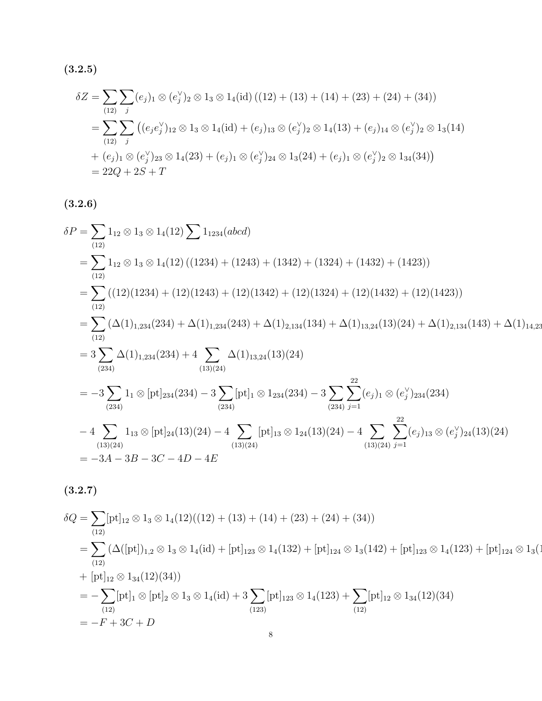$(3.2.5)$ 

$$
\delta Z = \sum_{(12)} \sum_{j} (e_j)_1 \otimes (e_j^{\vee})_2 \otimes 1_3 \otimes 1_4(\text{id}) ((12) + (13) + (14) + (23) + (24) + (34))
$$
  
= 
$$
\sum_{(12)} \sum_{j} ((e_j e_j^{\vee})_{12} \otimes 1_3 \otimes 1_4(\text{id}) + (e_j)_{13} \otimes (e_j^{\vee})_2 \otimes 1_4(13) + (e_j)_{14} \otimes (e_j^{\vee})_2 \otimes 1_3(14)
$$
  
+ 
$$
(e_j)_1 \otimes (e_j^{\vee})_{23} \otimes 1_4(23) + (e_j)_1 \otimes (e_j^{\vee})_{24} \otimes 1_3(24) + (e_j)_1 \otimes (e_j^{\vee})_2 \otimes 1_{34}(34))
$$
  
= 22Q + 2S + T

 $(3.2.6)$ 

$$
\delta P = \sum_{(12)} 1_{12} \otimes 1_3 \otimes 1_4(12) \sum 1_{1234}(abcd)
$$
  
= 
$$
\sum_{(12)} 1_{12} \otimes 1_3 \otimes 1_4(12) ((1234) + (1243) + (1342) + (1324) + (1432) + (1423))
$$
  
= 
$$
\sum_{(12)} ((12)(1234) + (12)(1243) + (12)(1342) + (12)(1324) + (12)(1432) + (12)(1423))
$$
  
= 
$$
\sum_{(12)} (\Delta(1)_{1,234}(234) + \Delta(1)_{1,234}(243) + \Delta(1)_{2,134}(134) + \Delta(1)_{13,24}(13)(24) + \Delta(1)_{2,134}(143) + \Delta(1)_{14,23}
$$
  
= 
$$
3 \sum_{(234)} \Delta(1)_{1,234}(234) + 4 \sum_{(13)(24)} \Delta(1)_{13,24}(13)(24)
$$
  
= 
$$
-3 \sum_{(234)} 1_1 \otimes [\text{pt}]_{234}(234) - 3 \sum_{(234)} [\text{pt}]_1 \otimes 1_{234}(234) - 3 \sum_{(234)} \sum_{j=1}^{22} (e_j)_1 \otimes (e_j')_{234}(234)
$$
  
- 
$$
4 \sum_{(13)(24)} 1_{13} \otimes [\text{pt}]_{24}(13)(24) - 4 \sum_{(13)(24)} [\text{pt}]_{13} \otimes 1_{24}(13)(24) - 4 \sum_{(13)(24)} \sum_{j=1}^{22} (e_j)_{13} \otimes (e_j')_{24}(13)(24)
$$
  
= 
$$
-3A - 3B - 3C - 4D - 4E
$$

 $(3.2.7)$ 

$$
\delta Q = \sum_{(12)} [\text{pt}]_{12} \otimes 1_3 \otimes 1_4 (12)((12) + (13) + (14) + (23) + (24) + (34))
$$
  
\n
$$
= \sum_{(12)} (\Delta([\text{pt}])_{1,2} \otimes 1_3 \otimes 1_4 (\text{id}) + [\text{pt}]_{123} \otimes 1_4 (132) + [\text{pt}]_{124} \otimes 1_3 (142) + [\text{pt}]_{123} \otimes 1_4 (123) + [\text{pt}]_{124} \otimes 1_3 (142) + [\text{pt}]_{124} \otimes 1_4 (123) + [\text{pt}]_{124} \otimes 1_3 (12)(34)
$$
  
\n
$$
= - \sum_{(12)} [\text{pt}]_1 \otimes [\text{pt}]_2 \otimes 1_3 \otimes 1_4 (\text{id}) + 3 \sum_{(123)} [\text{pt}]_{123} \otimes 1_4 (123) + \sum_{(12)} [\text{pt}]_{12} \otimes 1_{34} (12)(34)
$$
  
\n
$$
= -F + 3C + D
$$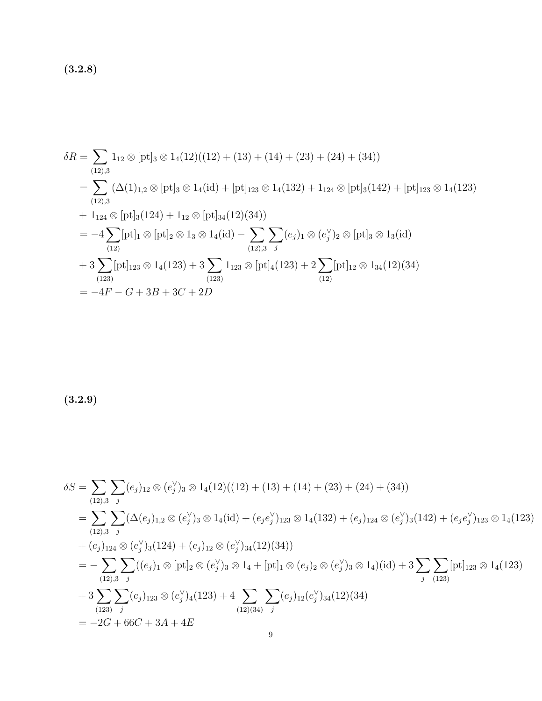$(3.2.8)$ 

$$
\delta R = \sum_{(12),3} 1_{12} \otimes [\text{pt}]_3 \otimes 1_4(12)((12) + (13) + (14) + (23) + (24) + (34))
$$
  
\n
$$
= \sum_{(12),3} (\Delta(1)_{1,2} \otimes [\text{pt}]_3 \otimes 1_4(\text{id}) + [\text{pt}]_{123} \otimes 1_4(132) + 1_{124} \otimes [\text{pt}]_3(142) + [\text{pt}]_{123} \otimes 1_4(123)
$$
  
\n
$$
+ 1_{124} \otimes [\text{pt}]_3(124) + 1_{12} \otimes [\text{pt}]_{34}(12)(34))
$$
  
\n
$$
= -4 \sum_{(12)} [\text{pt}]_1 \otimes [\text{pt}]_2 \otimes 1_3 \otimes 1_4(\text{id}) - \sum_{(12),3} \sum_{j} (e_j)_1 \otimes (e_j')_2 \otimes [\text{pt}]_3 \otimes 1_3(\text{id})
$$
  
\n
$$
+ 3 \sum_{(123)} [\text{pt}]_{123} \otimes 1_4(123) + 3 \sum_{(123)} 1_{123} \otimes [\text{pt}]_4(123) + 2 \sum_{(12)} [\text{pt}]_{12} \otimes 1_{34}(12)(34)
$$
  
\n
$$
= -4F - G + 3B + 3C + 2D
$$

 $(3.2.9)$ 

$$
\delta S = \sum_{(12),3} \sum_{j} (e_j)_{12} \otimes (e_j^{\vee})_3 \otimes 1_4(12)((12) + (13) + (14) + (23) + (24) + (34))
$$
  
\n
$$
= \sum_{(12),3} \sum_{j} (\Delta(e_j)_{1,2} \otimes (e_j^{\vee})_3 \otimes 1_4(\text{id}) + (e_j e_j^{\vee})_{123} \otimes 1_4(132) + (e_j)_{124} \otimes (e_j^{\vee})_3(142) + (e_j e_j^{\vee})_{123} \otimes 1_4(123)
$$
  
\n
$$
+ (e_j)_{124} \otimes (e_j^{\vee})_3(124) + (e_j)_{12} \otimes (e_j^{\vee})_{34}(12)(34))
$$
  
\n
$$
= - \sum_{(12),3} \sum_{j} ((e_j)_1 \otimes [\text{pt}]_2 \otimes (e_j^{\vee})_3 \otimes 1_4 + [\text{pt}]_1 \otimes (e_j)_2 \otimes (e_j^{\vee})_3 \otimes 1_4)(\text{id}) + 3 \sum_{j} \sum_{(123)} [\text{pt}]_{123} \otimes 1_4(123)
$$
  
\n
$$
+ 3 \sum_{(123)} \sum_{j} (e_j)_{123} \otimes (e_j^{\vee})_4(123) + 4 \sum_{(12)(34)} \sum_{j} (e_j)_{12} (e_j^{\vee})_{34}(12)(34)
$$
  
\n
$$
= -2G + 66C + 3A + 4E
$$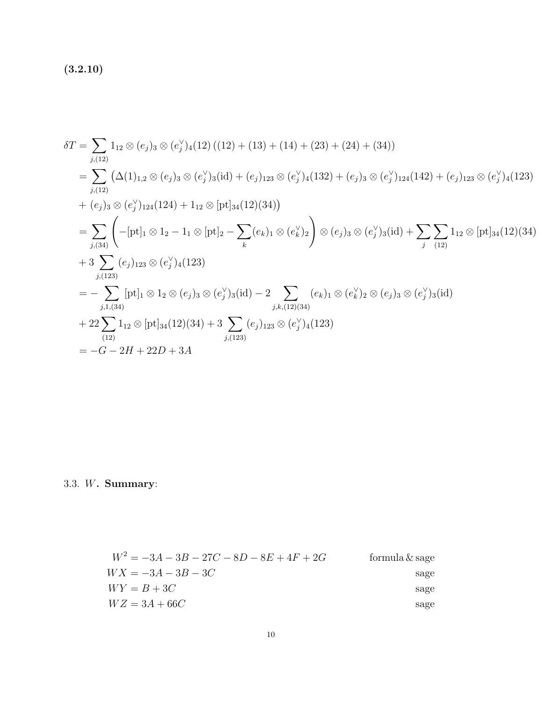$(3.2.10)$ 

$$
\delta T = \sum_{j,(12)} 1_{12} \otimes (e_j)_3 \otimes (e_j^{\vee})_4(12) ((12) + (13) + (14) + (23) + (24) + (34))
$$
  
\n
$$
= \sum_{j,(12)} (\Delta(1)_{1,2} \otimes (e_j)_3 \otimes (e_j^{\vee})_3(\text{id}) + (e_j)_{123} \otimes (e_j^{\vee})_4(132) + (e_j)_3 \otimes (e_j^{\vee})_{124}(142) + (e_j)_{123} \otimes (e_j^{\vee})_4(123)
$$
  
\n
$$
+ (e_j)_3 \otimes (e_j^{\vee})_{124}(124) + 1_{12} \otimes [\text{pt}]_{34}(12)(34)
$$
  
\n
$$
= \sum_{j,(34)} \left( -[\text{pt}]_1 \otimes 1_2 - 1_1 \otimes [\text{pt}]_2 - \sum_k (e_k)_1 \otimes (e_k^{\vee})_2 \right) \otimes (e_j)_3 \otimes (e_j^{\vee})_3(\text{id}) + \sum_j \sum_{(12)} 1_{12} \otimes [\text{pt}]_{34}(12)(34)
$$
  
\n
$$
+ 3 \sum_{j,(123)} (e_j)_{123} \otimes (e_j^{\vee})_4(123)
$$
  
\n
$$
= - \sum_{j,1,(34)} [\text{pt}]_1 \otimes 1_2 \otimes (e_j)_3 \otimes (e_j^{\vee})_3(\text{id}) - 2 \sum_{j,k,(12)(34)} (e_k)_1 \otimes (e_k^{\vee})_2 \otimes (e_j)_3 \otimes (e_j^{\vee})_3(\text{id})
$$
  
\n
$$
+ 22 \sum_{(12)} 1_{12} \otimes [\text{pt}]_{34}(12)(34) + 3 \sum_{j,(123)} (e_j)_{123} \otimes (e_j^{\vee})_4(123)
$$
  
\n
$$
= -G - 2H + 22D + 3A
$$

3.3. W. Summary:

$$
W^{2} = -3A - 3B - 27C - 8D - 8E + 4F + 2G
$$
 formula & *g*age  
\n
$$
WX = -3A - 3B - 3C
$$
 *g*age  
\n
$$
WY = B + 3C
$$
 *g*age  
\n
$$
WZ = 3A + 66C
$$
 *g*age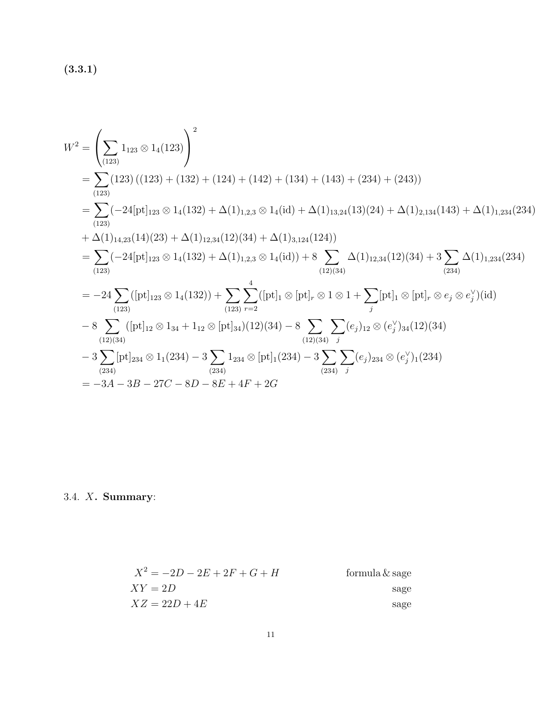(3.3.1)

$$
W^{2} = \left(\sum_{(123)} 1_{123} \otimes 1_{4}(123)\right)^{2}
$$
  
=  $\sum_{(123)} (123) ((123) + (132) + (124) + (142) + (134) + (143) + (234) + (243))$   
=  $\sum_{(123)} (-24[\text{pt}]_{123} \otimes 1_{4}(132) + \Delta(1)_{1,2,3} \otimes 1_{4}(\text{id}) + \Delta(1)_{13,24}(13)(24) + \Delta(1)_{2,134}(143) + \Delta(1)_{1,234}(234)$   
+  $\Delta(1)_{14,23}(14)(23) + \Delta(1)_{12,34}(12)(34) + \Delta(1)_{3,124}(124))$   
=  $\sum_{(123)} (-24[\text{pt}]_{123} \otimes 1_{4}(132) + \Delta(1)_{1,2,3} \otimes 1_{4}(\text{id})) + 8 \sum_{(12)(34)} \Delta(1)_{12,34}(12)(34) + 3 \sum_{(234)} \Delta(1)_{1,234}(234)$   
=  $-24 \sum_{(123)} ([\text{pt}]_{123} \otimes 1_{4}(132)) + \sum_{(123)} \sum_{r=2}^{4} ([\text{pt}]_{1} \otimes [\text{pt}]_{r} \otimes 1 \otimes 1 + \sum_{j} [\text{pt}]_{1} \otimes [\text{pt}]_{r} \otimes e_{j} \otimes e_{j}^{\vee})(\text{id})$   
-  $8 \sum_{(12)(34)} ([\text{pt}]_{12} \otimes 1_{34} + 1_{12} \otimes [\text{pt}]_{34})(12)(34) - 8 \sum_{(12)(34)} \sum_{(22)(34)} (e_{j})_{12} \otimes (e_{j}^{\vee})_{34}(12)(34)$   
-  $3 \sum_{(234)} [\text{pt}]_{234} \otimes 1_{1}(234) - 3 \sum_{(234)} 1_{234} \otimes [\text{pt}]_{1}(234) - 3 \sum_{(234)} \sum_{(234)} (e_{j})_{23$ 

3.4. X. Summary:

$$
X^{2} = -2D - 2E + 2F + G + H
$$
 formula & page  

$$
XY = 2D
$$
page  

$$
XZ = 22D + 4E
$$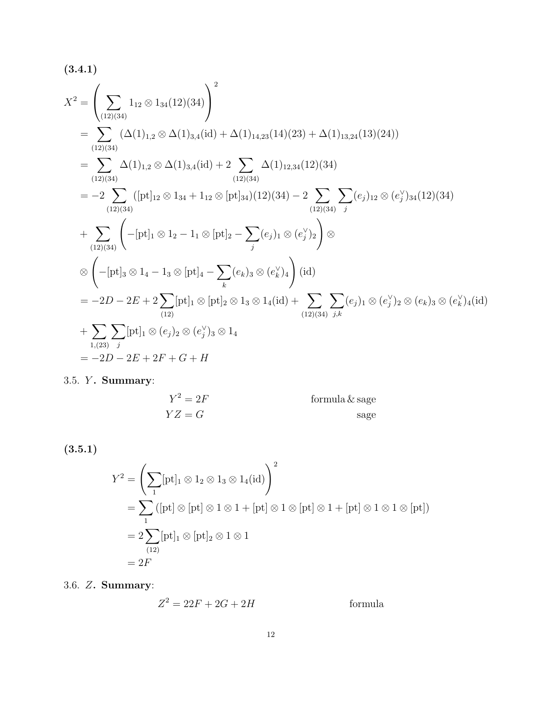$$
(3.4.1)
$$
\n
$$
X^{2} = \left(\sum_{(12)(34)} 1_{12} \otimes 1_{34}(12)(34)\right)^{2}
$$
\n
$$
= \sum_{(12)(34)} (\Delta(1)_{1,2} \otimes \Delta(1)_{3,4}(\text{id}) + \Delta(1)_{14,23}(14)(23) + \Delta(1)_{13,24}(13)(24))
$$
\n
$$
= \sum_{(12)(34)} \Delta(1)_{1,2} \otimes \Delta(1)_{3,4}(\text{id}) + 2 \sum_{(12)(34)} \Delta(1)_{12,34}(12)(34)
$$
\n
$$
= -2 \sum_{(12)(34)} ([\text{pt}]_{12} \otimes 1_{34} + 1_{12} \otimes [\text{pt}]_{34})(12)(34) - 2 \sum_{(12)(34)} \sum_{j} (e_{j})_{12} \otimes (e_{j}^{\vee})_{34}(12)(34)
$$
\n
$$
+ \sum_{(12)(34)} \left(-[\text{pt}]_{1} \otimes 1_{2} - 1_{1} \otimes [\text{pt}]_{2} - \sum_{j} (e_{j})_{1} \otimes (e_{j}^{\vee})_{2}\right) \otimes
$$
\n
$$
\otimes \left(-[\text{pt}]_{3} \otimes 1_{4} - 1_{3} \otimes [\text{pt}]_{4} - \sum_{k} (e_{k})_{3} \otimes (e_{k}^{\vee})_{4}\right) (\text{id})
$$
\n
$$
= -2D - 2E + 2 \sum_{(12)} [\text{pt}]_{1} \otimes [\text{pt}]_{2} \otimes 1_{3} \otimes 1_{4} (\text{id}) + \sum_{(12)(34)} \sum_{j,k} (e_{j})_{1} \otimes (e_{j}^{\vee})_{2} \otimes (e_{k})_{3} \otimes (e_{k}^{\vee})_{4} (\text{id})
$$
\n
$$
+ \sum_{1,(23)} \sum_{j} [\text{pt}]_{1} \otimes (e_{j})_{2} \otimes (e_{j}^{\vee})_{3} \otimes 1_{4}
$$
\n
$$
= -2D - 2E + 2F + G + H
$$

3.5. *Y*. Summary:

$$
Y^2 = 2F
$$
 formula &  $\&$  page  

$$
YZ = G
$$

(3.5.1)

$$
Y^2 = \left(\sum_1 [\text{pt}]_1 \otimes 1_2 \otimes 1_3 \otimes 1_4(\text{id})\right)^2
$$
  
=  $\sum_1 ([\text{pt}]_1 \otimes [\text{pt}] \otimes 1 \otimes 1 + [\text{pt}] \otimes 1 \otimes [\text{pt}] \otimes 1 + [\text{pt}] \otimes 1 \otimes 1 \otimes [\text{pt}])$   
=  $2 \sum_{(12)} [\text{pt}]_1 \otimes [\text{pt}]_2 \otimes 1 \otimes 1$   
=  $2F$ 

3.6. Z. Summary:

$$
Z^2 = 22F + 2G + 2H
$$
 formula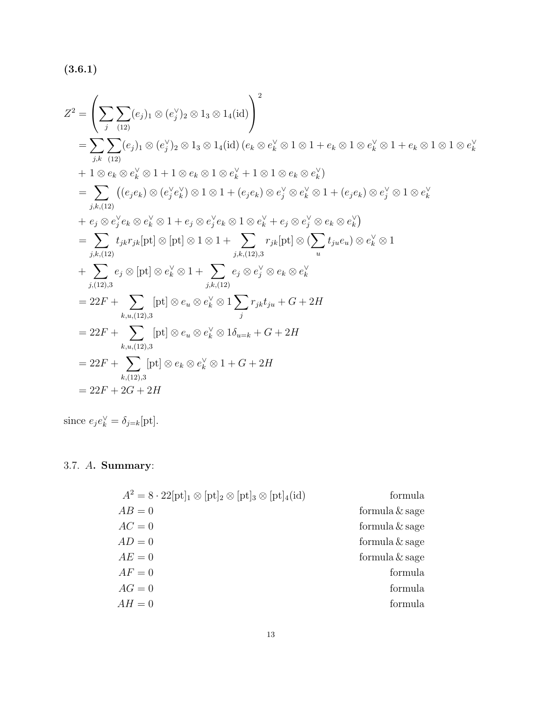$(3.6.1)$ 

$$
Z^{2} = \left(\sum_{j} \sum_{(12)} (e_{j})_{1} \otimes (e_{j}^{V})_{2} \otimes 1_{3} \otimes 1_{4}(\text{id})\right)^{2}
$$
  
\n
$$
= \sum_{j,k} \sum_{(12)} (e_{j})_{1} \otimes (e_{j}^{V})_{2} \otimes 1_{3} \otimes 1_{4}(\text{id}) (e_{k} \otimes e_{k}^{V} \otimes 1 \otimes 1 + e_{k} \otimes 1 \otimes e_{k}^{V} \otimes 1 + e_{k} \otimes 1 \otimes e_{k}^{V})
$$
  
\n
$$
+ 1 \otimes e_{k} \otimes e_{k}^{V} \otimes 1 + 1 \otimes e_{k} \otimes 1 \otimes e_{k}^{V} + 1 \otimes 1 \otimes e_{k} \otimes e_{k}^{V})
$$
  
\n
$$
= \sum_{j,k,(12)} ((e_{j}e_{k}) \otimes (e_{j}^{V}e_{k}^{V}) \otimes 1 \otimes 1 + (e_{j}e_{k}) \otimes e_{j}^{V} \otimes e_{k}^{V} \otimes 1 + (e_{j}e_{k}) \otimes e_{j}^{V} \otimes 1 \otimes e_{k}^{V})
$$
  
\n
$$
+ e_{j} \otimes e_{j}^{V}e_{k} \otimes e_{k}^{V} \otimes 1 + e_{j} \otimes e_{j}^{V}e_{k} \otimes 1 \otimes e_{k}^{V} + e_{j} \otimes e_{j}^{V} \otimes e_{k} \otimes e_{k}^{V})
$$
  
\n
$$
= \sum_{j,k,(12)} t_{j,k}r_{j,k}[\text{pt}] \otimes [\text{pt}] \otimes 1 \otimes 1 + \sum_{j,k,(12),3} r_{j,k}[\text{pt}] \otimes (\sum_{u} t_{ju}e_{u}) \otimes e_{k}^{V} \otimes 1
$$
  
\n
$$
+ \sum_{j,(12),3} e_{j} \otimes [\text{pt}] \otimes e_{u}^{V} \otimes 1 + \sum_{j,k,(12)} e_{j} \otimes e_{j}^{V} \otimes e_{k} \otimes e_{k}^{V}
$$
  
\n
$$
= 22F + \sum_{k,u,(12),3}
$$

since  $e_j e_k^{\vee} = \delta_{j=k}[\text{pt}].$ 

## 3.7. A. Summary:

| formula           |
|-------------------|
| formula $\&$ sage |
| formula $&$ sage  |
| formula $\&$ sage |
| formula $&$ sage  |
| formula           |
| formula           |
| formula           |
|                   |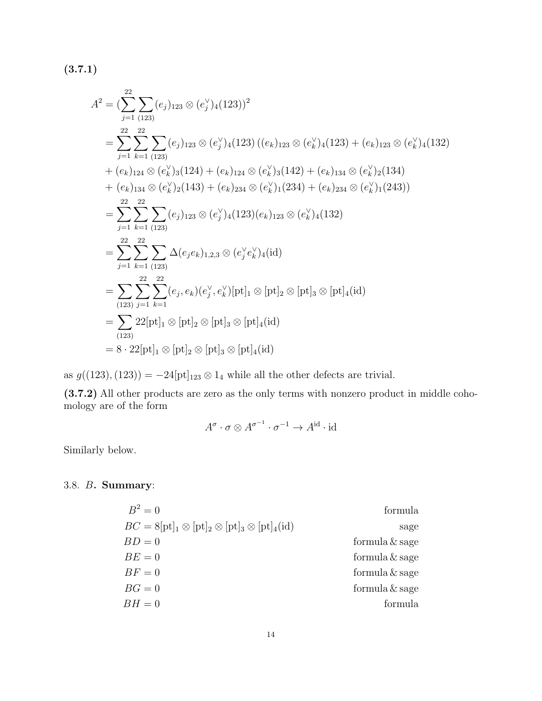(3.7.1)

$$
A^{2} = \left(\sum_{j=1}^{22} \sum_{(123)} (e_{j})_{123} \otimes (e_{j}^{V})_{4}(123)\right)^{2}
$$
  
\n
$$
= \sum_{j=1}^{22} \sum_{k=1}^{22} \sum_{(123)} (e_{j})_{123} \otimes (e_{j}^{V})_{4}(123) \left((e_{k})_{123} \otimes (e_{k}^{V})_{4}(123) + (e_{k})_{123} \otimes (e_{k}^{V})_{4}(132) + (e_{k})_{124} \otimes (e_{k}^{V})_{3}(124) + (e_{k})_{124} \otimes (e_{k}^{V})_{3}(142) + (e_{k})_{134} \otimes (e_{k}^{V})_{2}(134) + (e_{k})_{134} \otimes (e_{k}^{V})_{2}(143) + (e_{k})_{234} \otimes (e_{k}^{V})_{1}(234) + (e_{k})_{234} \otimes (e_{k}^{V})_{1}(243))
$$
  
\n
$$
= \sum_{j=1}^{22} \sum_{k=1}^{22} \sum_{(123)} (e_{j})_{123} \otimes (e_{j}^{V})_{4}(123)(e_{k})_{123} \otimes (e_{k}^{V})_{4}(132)
$$
  
\n
$$
= \sum_{j=1}^{22} \sum_{k=1}^{22} \sum_{(123)} \Delta(e_{j}e_{k})_{1,2,3} \otimes (e_{j}^{V}e_{k}^{V})_{4}(id)
$$
  
\n
$$
= \sum_{(123)} \sum_{j=1}^{22} \sum_{k=1}^{22} (e_{j}, e_{k})(e_{j}^{V}, e_{k}^{V})[\text{pt}]_{1} \otimes [\text{pt}]_{2} \otimes [\text{pt}]_{3} \otimes [\text{pt}]_{4}(id)
$$
  
\n
$$
= \sum_{(123)} 22[\text{pt}]_{1} \otimes [\text{pt}]_{2} \otimes [\text{pt}]_{3} \otimes [\text{pt}]_{4}(id)
$$
  
\n
$$
= 8 \cdot 22[\text{pt}]_{1} \otimes [\text{pt}]_{2} \otimes [\text
$$

as  $g((123),(123)) = -24[pt]_{123} \otimes 1_4$  while all the other defects are trivial.

(3.7.2) All other products are zero as the only terms with nonzero product in middle cohomology are of the form

$$
A^{\sigma} \cdot \sigma \otimes A^{\sigma^{-1}} \cdot \sigma^{-1} \to A^{\mathrm{id}} \cdot \mathrm{id}
$$

Similarly below.

### 3.8. B. Summary:

| formula           |
|-------------------|
| sage              |
| formula $\&$ sage |
| formula $\&$ sage |
| formula $\&$ sage |
| formula $&$ sage  |
| formula           |
|                   |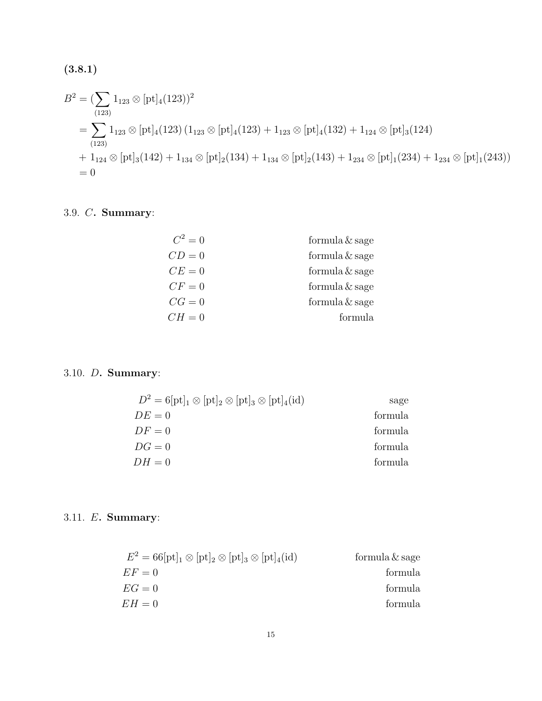$$
(3.8.1)
$$

$$
B^{2} = (\sum_{(123)} 1_{123} \otimes [\text{pt}]_{4}(123))^{2}
$$
  
=  $\sum_{(123)} 1_{123} \otimes [\text{pt}]_{4}(123) (1_{123} \otimes [\text{pt}]_{4}(123) + 1_{123} \otimes [\text{pt}]_{4}(132) + 1_{124} \otimes [\text{pt}]_{3}(124)$   
+  $1_{124} \otimes [\text{pt}]_{3}(142) + 1_{134} \otimes [\text{pt}]_{2}(134) + 1_{134} \otimes [\text{pt}]_{2}(143) + 1_{234} \otimes [\text{pt}]_{1}(234) + 1_{234} \otimes [\text{pt}]_{1}(243))$   
= 0

## 3.9. C. Summary:

| $C^2 = 0$ | formula & sage |
|-----------|----------------|
| $CD = 0$  | formula & sage |
| $CE = 0$  | formula & sage |
| $CF = 0$  | formula & sage |
| $CG=0$    | formula & sage |
| $CH=0$    | formula        |

## 3.10. D. Summary:

| $D^2 = 6[\text{pt}]_1 \otimes [\text{pt}]_2 \otimes [\text{pt}]_3 \otimes [\text{pt}]_4(\text{id})$ | sage    |
|-----------------------------------------------------------------------------------------------------|---------|
| $DE = 0$                                                                                            | formula |
| $DF=0$                                                                                              | formula |
| $DG=0$                                                                                              | formula |
| $DH=0$                                                                                              | formula |

## 3.11. E. Summary:

| $E^2 = 66[\text{pt}]_1 \otimes [\text{pt}]_2 \otimes [\text{pt}]_3 \otimes [\text{pt}]_4(\text{id})$ | formula $\&$ sage |
|------------------------------------------------------------------------------------------------------|-------------------|
| $EF=0$                                                                                               | formula           |
| $EG=0$                                                                                               | formula           |
| $EH=0$                                                                                               | formula           |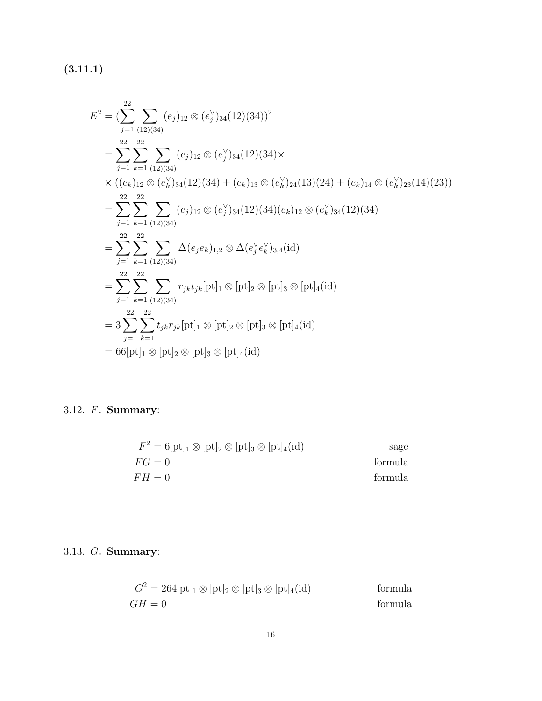$(3.11.1)$ 

$$
E^{2} = \left(\sum_{j=1}^{22} \sum_{(12)(34)} (e_{j})_{12} \otimes (e_{j}^{V})_{34} (12)(34)\right)^{2}
$$
  
\n
$$
= \sum_{j=1}^{22} \sum_{k=1}^{22} \sum_{(12)(34)} (e_{j})_{12} \otimes (e_{j}^{V})_{34} (12)(34) \times
$$
  
\n
$$
\times ((e_{k})_{12} \otimes (e_{k}^{V})_{34} (12)(34) + (e_{k})_{13} \otimes (e_{k}^{V})_{24} (13)(24) + (e_{k})_{14} \otimes (e_{k}^{V})_{23} (14)(23))
$$
  
\n
$$
= \sum_{j=1}^{22} \sum_{k=1}^{22} \sum_{(12)(34)} (e_{j})_{12} \otimes (e_{j}^{V})_{34} (12)(34)(e_{k})_{12} \otimes (e_{k}^{V})_{34} (12)(34)
$$
  
\n
$$
= \sum_{j=1}^{22} \sum_{k=1}^{22} \sum_{(12)(34)} \Delta(e_{j}e_{k})_{1,2} \otimes \Delta(e_{j}^{V}e_{k}^{V})_{3,4} (id)
$$
  
\n
$$
= \sum_{j=1}^{22} \sum_{k=1}^{22} \sum_{(12)(34)} r_{jk} t_{jk} [\text{pt}]_{1} \otimes [\text{pt}]_{2} \otimes [\text{pt}]_{3} \otimes [\text{pt}]_{4} (id)
$$
  
\n
$$
= 3 \sum_{j=1}^{22} \sum_{k=1}^{22} t_{jk} r_{jk} [\text{pt}]_{1} \otimes [\text{pt}]_{2} \otimes [\text{pt}]_{3} \otimes [\text{pt}]_{4} (id)
$$
  
\n
$$
= 66 [\text{pt}]_{1} \otimes [\text{pt}]_{2} \otimes [\text{pt}]_{3} \otimes [\text{pt}]_{4} (id)
$$

## 3.12. F. Summary:

$$
F^{2} = 6[\text{pt}]_{1} \otimes [\text{pt}]_{2} \otimes [\text{pt}]_{3} \otimes [\text{pt}]_{4}(\text{id})
$$
sage  
 
$$
FG = 0
$$
 formula  
 
$$
FH = 0
$$
 formula

## 3.13. G. Summary:

$$
G^{2} = 264[\text{pt}]_{1} \otimes [\text{pt}]_{2} \otimes [\text{pt}]_{3} \otimes [\text{pt}]_{4}(\text{id})
$$
 formula  

$$
GH = 0
$$
 formula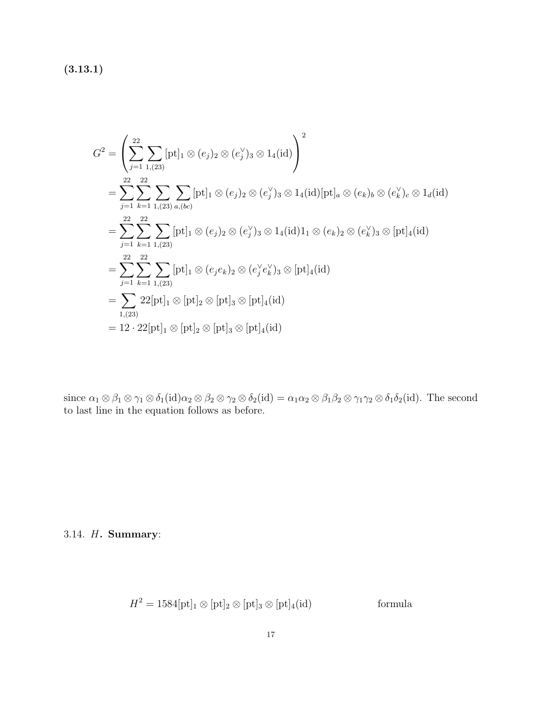(3.13.1)

$$
G^{2} = \left(\sum_{j=1}^{22} \sum_{1,(23)} [pt]_{1} \otimes (e_{j})_{2} \otimes (e_{j}^{V})_{3} \otimes 1_{4}(\text{id})\right)^{2}
$$
  
\n
$$
= \sum_{j=1}^{22} \sum_{k=1}^{22} \sum_{1,(23)} \sum_{a,(bc)} [pt]_{1} \otimes (e_{j})_{2} \otimes (e_{j}^{V})_{3} \otimes 1_{4}(\text{id}) [pt]_{a} \otimes (e_{k})_{b} \otimes (e_{k}^{V})_{c} \otimes 1_{d}(\text{id})
$$
  
\n
$$
= \sum_{j=1}^{22} \sum_{k=1}^{22} \sum_{1,(23)} [pt]_{1} \otimes (e_{j})_{2} \otimes (e_{j}^{V})_{3} \otimes 1_{4}(\text{id})1_{1} \otimes (e_{k})_{2} \otimes (e_{k}^{V})_{3} \otimes [pt]_{4}(\text{id})
$$
  
\n
$$
= \sum_{j=1}^{22} \sum_{k=1}^{22} \sum_{1,(23)} [pt]_{1} \otimes (e_{j}e_{k})_{2} \otimes (e_{j}^{V}e_{k}^{V})_{3} \otimes [pt]_{4}(\text{id})
$$
  
\n
$$
= \sum_{1,(23)} 22[pt]_{1} \otimes [pt]_{2} \otimes [pt]_{3} \otimes [pt]_{4}(\text{id})
$$
  
\n
$$
= 12 \cdot 22[pt]_{1} \otimes [pt]_{2} \otimes [pt]_{3} \otimes [pt]_{4}(\text{id})
$$

since  $\alpha_1 \otimes \beta_1 \otimes \gamma_1 \otimes \delta_1(\text{id})\alpha_2 \otimes \beta_2 \otimes \gamma_2 \otimes \delta_2(\text{id}) = \alpha_1 \alpha_2 \otimes \beta_1 \beta_2 \otimes \gamma_1 \gamma_2 \otimes \delta_1 \delta_2(\text{id})$ . The second to last line in the equation follows as before.

### 3.14. H. Summary:

$$
H^2 = 1584[\text{pt}]_1 \otimes [\text{pt}]_2 \otimes [\text{pt}]_3 \otimes [\text{pt}]_4(\text{id})
$$
 formula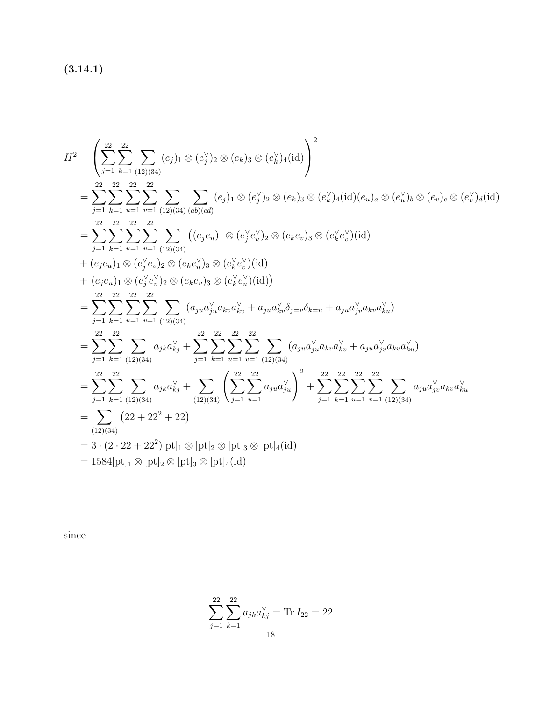$(3.14.1)$ 

$$
H^{2} = \left(\sum_{j=1}^{22} \sum_{k=1}^{22} \sum_{(12)(34)} (e_{j})_{1} \otimes (e_{j}^{V})_{2} \otimes (e_{k})_{3} \otimes (e_{k}^{V})_{4}(\text{id})\right)^{2}
$$
  
\n
$$
= \sum_{j=1}^{22} \sum_{k=1}^{22} \sum_{u=1}^{22} \sum_{v=1}^{22} \sum_{(12)(34)} \sum_{(ab)(cd)} (e_{j})_{1} \otimes (e_{j}^{V})_{2} \otimes (e_{k})_{3} \otimes (e_{k}^{V})_{4}(\text{id})(e_{u})_{a} \otimes (e_{u}^{V})_{b} \otimes (e_{v})_{c} \otimes (e_{u}^{V})_{d}(\text{id})
$$
  
\n
$$
= \sum_{j=1}^{22} \sum_{k=1}^{22} \sum_{u=1}^{22} \sum_{v=1}^{22} \sum_{(12)(34)} ((e_{j}e_{u})_{1} \otimes (e_{j}^{V}e_{u}^{V})_{2} \otimes (e_{k}e_{v})_{3} \otimes (e_{k}^{V}e_{v}^{V})(\text{id})
$$
  
\n
$$
+ (e_{j}e_{u})_{1} \otimes (e_{j}^{V}e_{v})_{2} \otimes (e_{k}e_{u}^{V})_{3} \otimes (e_{k}^{V}e_{u}^{V})(\text{id})
$$
  
\n
$$
+ (e_{j}e_{u})_{1} \otimes (e_{j}^{V}e_{v}^{V})_{2} \otimes (e_{k}e_{v})_{3} \otimes (e_{k}^{V}e_{u}^{V})(\text{id})
$$
  
\n
$$
= \sum_{j=1}^{22} \sum_{k=1}^{22} \sum_{u=1}^{22} \sum_{v=1}^{22} \sum_{(12)(34)} (a_{ju}a_{ju}^{V}a_{kv}a_{kv}^{V} + a_{ju}a_{kv}^{V}\delta_{j=v}\delta_{k=u} + a_{ju}a_{ju}^{V}a_{kv}a_{ku}^{V})
$$
  
\n
$$
= \sum_{j=1}^{22} \sum_{k=1}^{22} \sum_{(12)(34)} a_{jk}a
$$

since

$$
\sum_{j=1}^{22} \sum_{k=1}^{22} a_{jk} a_{kj}^{\vee} = \text{Tr} I_{22} = 22
$$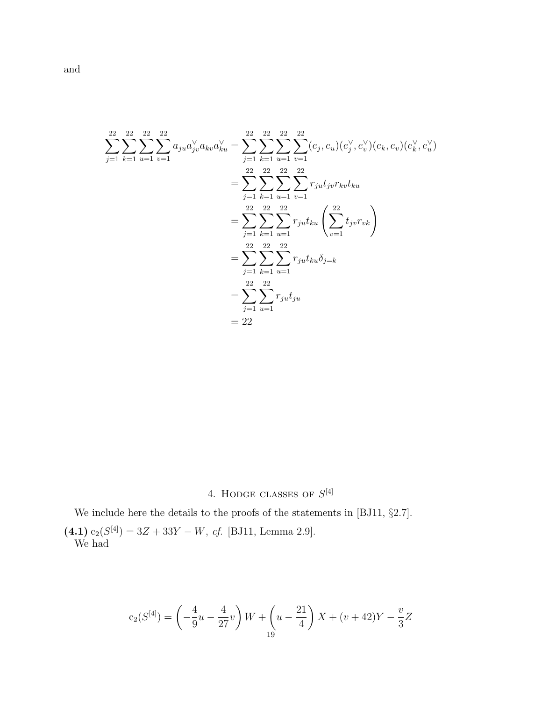$$
\sum_{j=1}^{22} \sum_{k=1}^{22} \sum_{u=1}^{22} \sum_{v=1}^{22} a_{ju} a_{jv}^{\vee} a_{kv} a_{ku}^{\vee} = \sum_{j=1}^{22} \sum_{k=1}^{22} \sum_{u=1}^{22} \sum_{v=1}^{22} (e_j, e_u)(e_j^{\vee}, e_v^{\vee})(e_k, e_v)(e_k^{\vee}, e_u^{\vee})
$$
  

$$
= \sum_{j=1}^{22} \sum_{k=1}^{22} \sum_{u=1}^{22} \sum_{v=1}^{22} r_{ju} t_{jv} r_{kv} t_{ku}
$$
  

$$
= \sum_{j=1}^{22} \sum_{k=1}^{22} \sum_{u=1}^{22} r_{ju} t_{ku} \left( \sum_{v=1}^{22} t_{jv} r_{vk} \right)
$$
  

$$
= \sum_{j=1}^{22} \sum_{k=1}^{22} \sum_{u=1}^{22} r_{ju} t_{ku} \delta_{j=k}
$$
  

$$
= \sum_{j=1}^{22} \sum_{u=1}^{22} r_{ju} t_{ju}
$$
  

$$
= 22
$$

4. HODGE CLASSES OF  $S^{[4]}$ 

We include here the details to the proofs of the statements in [BJ11, §2.7].

 $(4.1)$  c<sub>2</sub>( $S^{[4]}$ ) = 3Z + 33Y – W, cf. [BJ11, Lemma 2.9]. We had

$$
c_2(S^{[4]}) = \left(-\frac{4}{9}u - \frac{4}{27}v\right)W + \left(u - \frac{21}{4}\right)X + (v + 42)Y - \frac{v}{3}Z
$$

and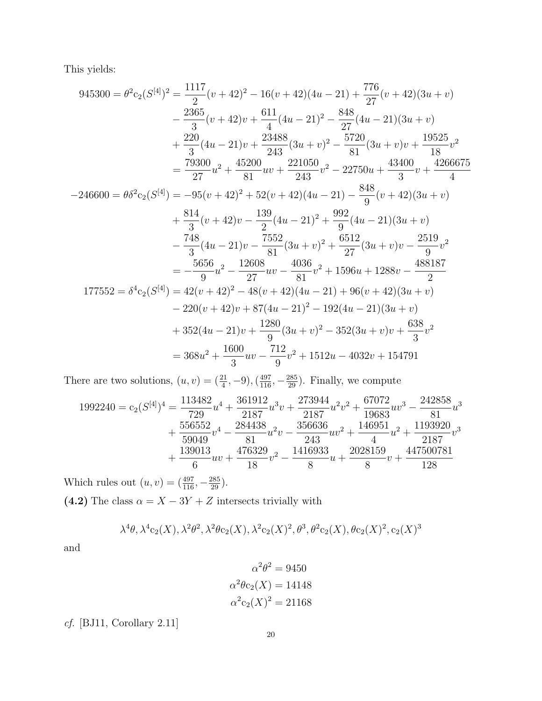This yields:

$$
945300 = \theta^2 c_2 (S^{[4]})^2 = \frac{1117}{2} (v + 42)^2 - 16(v + 42)(4u - 21) + \frac{776}{27} (v + 42)(3u + v)
$$
  
\n
$$
- \frac{2365}{3} (v + 42)v + \frac{611}{4} (4u - 21)^2 - \frac{848}{27} (4u - 21)(3u + v)
$$
  
\n
$$
+ \frac{220}{3} (4u - 21)v + \frac{23488}{243} (3u + v)^2 - \frac{5720}{81} (3u + v)v + \frac{19525}{18} v^2
$$
  
\n
$$
= \frac{79300}{27} u^2 + \frac{45200}{81} u v + \frac{221050}{243} v^2 - 22750u + \frac{43400}{3} v + \frac{4266675}{4}
$$
  
\n
$$
-246600 = \theta \delta^2 c_2 (S^{[4]}) = -95(v + 42)^2 + 52(v + 42)(4u - 21) - \frac{848}{9} (v + 42)(3u + v)
$$
  
\n
$$
+ \frac{814}{3} (v + 42)v - \frac{139}{2} (4u - 21)^2 + \frac{992}{9} (4u - 21)(3u + v)
$$
  
\n
$$
- \frac{748}{3} (4u - 21)v - \frac{7552}{81} (3u + v)^2 + \frac{6512}{27} (3u + v)v - \frac{2519}{9} v^2
$$
  
\n
$$
= -\frac{5656}{9} u^2 - \frac{12608}{27} u v - \frac{4036}{81} v^2 + 1596u + 1288v - \frac{488187}{2}
$$
  
\n
$$
177552 = \delta^4 c_2 (S^{[4]}) = 42(v + 42)^2 - 48(v + 42)(4u - 21) + 96(v + 42)(3u + v)
$$
  
\n
$$
- 220(v + 42)v + 87(4u -
$$

There are two solutions,  $(u, v) = (\frac{21}{4}, -9), (\frac{497}{116}, -\frac{285}{29})$ . Finally, we compute

$$
1992240 = c_2(S^{[4]})^4 = \frac{113482}{729}u^4 + \frac{361912}{2187}u^3v + \frac{273944}{2187}u^2v^2 + \frac{67072}{19683}uv^3 - \frac{242858}{81}u^3
$$
  
+ 
$$
\frac{556552}{59049}v^4 - \frac{284438}{81}u^2v - \frac{356636}{243}uv^2 + \frac{146951}{4}u^2 + \frac{1193920}{2187}v^3
$$
  
+ 
$$
\frac{139013}{6}uv + \frac{476329}{18}v^2 - \frac{1416933}{8}u + \frac{2028159}{8}v + \frac{447500781}{128}
$$

Which rules out  $(u, v) = (\frac{497}{116}, -\frac{285}{29})$ . (4.2) The class  $\alpha = X - 3Y + Z$  intersects trivially with

$$
\lambda^4 \theta, \lambda^4 c_2(X), \lambda^2 \theta^2, \lambda^2 \theta c_2(X), \lambda^2 c_2(X)^2, \theta^3, \theta^2 c_2(X), \theta c_2(X)^2, c_2(X)^3
$$

and

$$
\alpha^2 \theta^2 = 9450
$$

$$
\alpha^2 \theta c_2(X) = 14148
$$

$$
\alpha^2 c_2(X)^2 = 21168
$$

 $\emph{cf.}$  [BJ11, Corollary 2.11]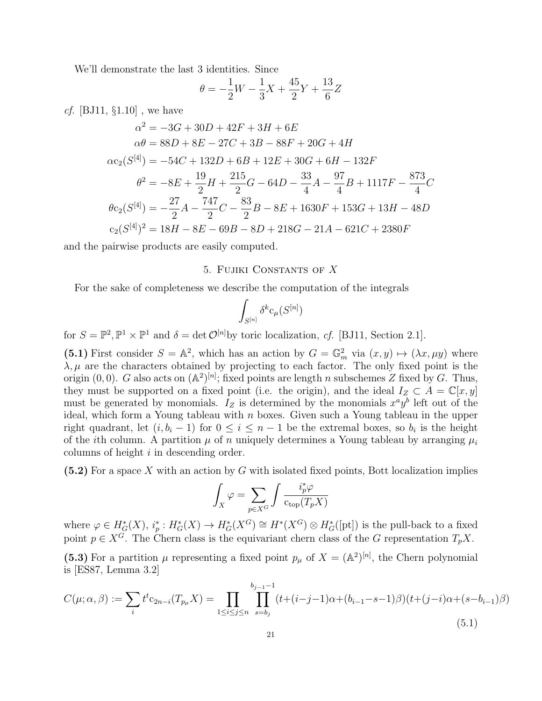We'll demonstrate the last 3 identities. Since

$$
\theta = -\frac{1}{2}W - \frac{1}{3}X + \frac{45}{2}Y + \frac{13}{6}Z
$$

*cf.* [BJ11,  $\S1.10$ ], we have

$$
\alpha^2 = -3G + 30D + 42F + 3H + 6E
$$
  
\n
$$
\alpha\theta = 88D + 8E - 27C + 3B - 88F + 20G + 4H
$$
  
\n
$$
\alpha c_2(S^{[4]}) = -54C + 132D + 6B + 12E + 30G + 6H - 132F
$$
  
\n
$$
\theta^2 = -8E + \frac{19}{2}H + \frac{215}{2}G - 64D - \frac{33}{4}A - \frac{97}{4}B + 1117F - \frac{873}{4}C
$$
  
\n
$$
\theta c_2(S^{[4]}) = -\frac{27}{2}A - \frac{747}{2}C - \frac{83}{2}B - 8E + 1630F + 153G + 13H - 48D
$$
  
\n
$$
c_2(S^{[4]})^2 = 18H - 8E - 69B - 8D + 218G - 21A - 621C + 2380F
$$

and the pairwise products are easily computed.

#### 5. Fujiki Constants of X

For the sake of completeness we describe the computation of the integrals

$$
\int_{S^{[n]}} \delta^k \mathrm{c}_{\mu}(S^{[n]})
$$

for  $S = \mathbb{P}^2$ ,  $\mathbb{P}^1 \times \mathbb{P}^1$  and  $\delta = \det \mathcal{O}^{[n]}$  by toric localization, cf. [BJ11, Section 2.1].

(5.1) First consider  $S = \mathbb{A}^2$ , which has an action by  $G = \mathbb{G}_m^2$  via  $(x, y) \mapsto (\lambda x, \mu y)$  where  $\lambda, \mu$  are the characters obtained by projecting to each factor. The only fixed point is the origin (0,0). G also acts on  $(\mathbb{A}^2)^{[n]}$ ; fixed points are length n subschemes Z fixed by G. Thus, they must be supported on a fixed point (i.e. the origin), and the ideal  $I_Z \subset A = \mathbb{C}[x, y]$ must be generated by monomials.  $I_z$  is determined by the monomials  $x^a y^b$  left out of the ideal, which form a Young tableau with  $n$  boxes. Given such a Young tableau in the upper right quadrant, let  $(i, b_i - 1)$  for  $0 \le i \le n - 1$  be the extremal boxes, so  $b_i$  is the height of the *i*th column. A partition  $\mu$  of n uniquely determines a Young tableau by arranging  $\mu_i$ columns of height  $i$  in descending order.

 $(5.2)$  For a space X with an action by G with isolated fixed points, Bott localization implies

$$
\int_X \varphi = \sum_{p \in X^G} \int \frac{i_p^* \varphi}{c_{\text{top}}(T_p X)}
$$

where  $\varphi \in H^*_G(X), i_p^*: H^*_G(X) \to H^*_G(X^G) \cong H^*(X^G) \otimes H^*_G([pt])$  is the pull-back to a fixed point  $p \in X^{\widetilde{G}}$ . The Chern class is the equivariant chern class of the G representation  $T_p X$ .

(5.3) For a partition  $\mu$  representing a fixed point  $p_{\mu}$  of  $X = (A^2)^{[n]}$ , the Chern polynomial is [ES87, Lemma 3.2]

$$
C(\mu; \alpha, \beta) := \sum_{i} t^{t} c_{2n-i}(T_{p\mu}X) = \prod_{1 \le i \le j \le n} \prod_{s=b_j}^{b_{j-1}-1} (t + (i-j-1)\alpha + (b_{i-1}-s-1)\beta)(t + (j-i)\alpha + (s-b_{i-1})\beta)
$$
\n(5.1)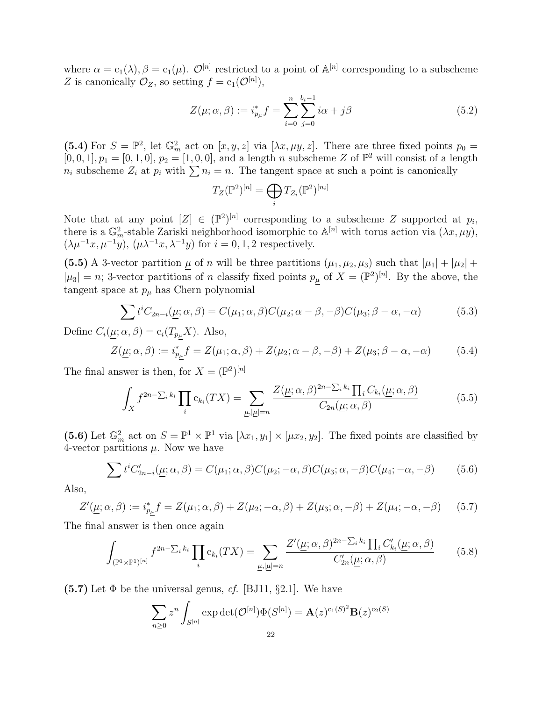where  $\alpha = c_1(\lambda), \beta = c_1(\mu)$ .  $\mathcal{O}^{[n]}$  restricted to a point of  $\mathbb{A}^{[n]}$  corresponding to a subscheme Z is canonically  $\mathcal{O}_Z$ , so setting  $f = c_1(\mathcal{O}^{[n]})$ ,

$$
Z(\mu; \alpha, \beta) := i_{p_{\mu}}^{*} f = \sum_{i=0}^{n} \sum_{j=0}^{b_{i}-1} i\alpha + j\beta
$$
 (5.2)

(5.4) For  $S = \mathbb{P}^2$ , let  $\mathbb{G}_m^2$  act on  $[x, y, z]$  via  $[\lambda x, \mu y, z]$ . There are three fixed points  $p_0 =$  $[0, 0, 1], p_1 = [0, 1, 0], p_2 = [1, 0, 0],$  and a length n subscheme Z of  $\mathbb{P}^2$  will consist of a length  $n_i$  subscheme  $Z_i$  at  $p_i$  with  $\sum n_i = n$ . The tangent space at such a point is canonically

$$
T_Z(\mathbb{P}^2)^{[n]} = \bigoplus_i T_{Z_i}(\mathbb{P}^2)^{[n_i]}
$$

Note that at any point  $[Z] \in (\mathbb{P}^2)^{[n]}$  corresponding to a subscheme Z supported at  $p_i$ , there is a  $\mathbb{G}_m^2$ -stable Zariski neighborhood isomorphic to  $\mathbb{A}^{[n]}$  with torus action via  $(\lambda x, \mu y)$ ,  $(\lambda \mu^{-1}x, \mu^{-1}y), (\mu \lambda^{-1}x, \lambda^{-1}y)$  for  $i = 0, 1, 2$  respectively.

(5.5) A 3-vector partition  $\mu$  of n will be three partitions  $(\mu_1, \mu_2, \mu_3)$  such that  $|\mu_1| + |\mu_2| +$  $|\mu_3| = n$ ; 3-vector partitions of n classify fixed points  $p_\mu$  of  $X = (\mathbb{P}^2)^{[n]}$ . By the above, the tangent space at  $p_\mu$  has Chern polynomial

$$
\sum t^{i} C_{2n-i}(\underline{\mu}; \alpha, \beta) = C(\mu_1; \alpha, \beta) C(\mu_2; \alpha - \beta, -\beta) C(\mu_3; \beta - \alpha, -\alpha)
$$
(5.3)

Define  $C_i(\underline{\mu}; \alpha, \beta) = c_i(T_{p\underline{\mu}}X)$ . Also,

$$
Z(\underline{\mu}; \alpha, \beta) := i_{p\underline{\mu}}^* f = Z(\mu_1; \alpha, \beta) + Z(\mu_2; \alpha - \beta, -\beta) + Z(\mu_3; \beta - \alpha, -\alpha) \tag{5.4}
$$

The final answer is then, for  $X = (\mathbb{P}^2)^{[n]}$ 

$$
\int_{X} f^{2n-\sum_{i} k_{i}} \prod_{i} c_{k_{i}}(TX) = \sum_{\mu,|\mu|=n} \frac{Z(\mu;\alpha,\beta)^{2n-\sum_{i} k_{i}} \prod_{i} C_{k_{i}}(\mu;\alpha,\beta)}{C_{2n}(\mu;\alpha,\beta)}
$$
(5.5)

(5.6) Let  $\mathbb{G}_m^2$  act on  $S = \mathbb{P}^1 \times \mathbb{P}^1$  via  $[\lambda x_1, y_1] \times [\mu x_2, y_2]$ . The fixed points are classified by 4-vector partitions  $\mu$ . Now we have

$$
\sum t^i C'_{2n-i}(\underline{\mu}; \alpha, \beta) = C(\mu_1; \alpha, \beta) C(\mu_2; -\alpha, \beta) C(\mu_3; \alpha, -\beta) C(\mu_4; -\alpha, -\beta)
$$
(5.6)

Also,

$$
Z'(\underline{\mu}; \alpha, \beta) := i_{p\underline{\mu}}^* f = Z(\mu_1; \alpha, \beta) + Z(\mu_2; -\alpha, \beta) + Z(\mu_3; \alpha, -\beta) + Z(\mu_4; -\alpha, -\beta) \tag{5.7}
$$

The final answer is then once again

$$
\int_{(\mathbb{P}^1 \times \mathbb{P}^1)^{[n]}} f^{2n - \sum_i k_i} \prod_i c_{k_i}(TX) = \sum_{\underline{\mu}, |\underline{\mu}| = n} \frac{Z'(\underline{\mu}; \alpha, \beta)^{2n - \sum_i k_i} \prod_i C'_{k_i}(\underline{\mu}; \alpha, \beta)}{C'_{2n}(\underline{\mu}; \alpha, \beta)} \tag{5.8}
$$

 $(5.7)$  Let  $\Phi$  be the universal genus, cf. [BJ11, §2.1]. We have

$$
\sum_{n\geq 0} z^n \int_{S^{[n]}} \exp \det(\mathcal{O}^{[n]}) \Phi(S^{[n]}) = \mathbf{A}(z)^{c_1(S)^2} \mathbf{B}(z)^{c_2(S)}
$$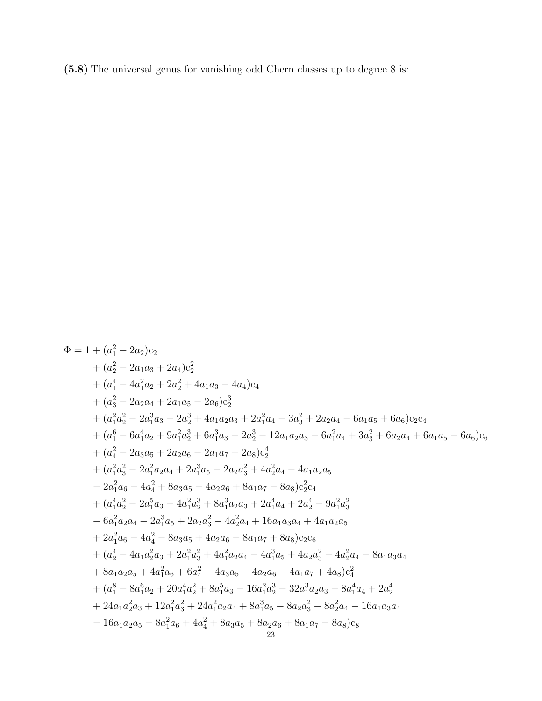(5.8) The universal genus for vanishing odd Chern classes up to degree 8 is:

$$
\begin{aligned}\Phi&=1+(a_1^2-2a_2)c_2\\&+(a_2^2-2a_1a_3+2a_4)c_2^2\\&+(a_4^4-4a_1^2a_2+2a_2^2+4a_1a_3-4a_4)c_4\\&+(a_3^2-2a_2a_4+2a_1a_5-2a_6)c_2^3\\&+(a_1^2a_2^2-2a_1^3a_3-2a_2^3+4a_1a_2a_3+2a_1^2a_4-3a_3^2+2a_2a_4-6a_1a_5+6a_6)c_2c_4\\&+(a_1^6-6a_1^4a_2+9a_1^2a_2^3+6a_1^3a_3-2a_2^3-12a_1a_2a_3-6a_1^2a_4+3a_3^2+6a_2a_4+6a_1a_5-6a_6)c_6\\&+(a_4^2-2a_3a_5+2a_2a_6-2a_1a_7+2a_8)c_2^4\\&+(a_1^2a_3^2-2a_1^2a_2a_4+2a_1^3a_5-2a_2a_3^2+4a_2^2a_4-4a_1a_2a_5\\&-2a_1^2a_6-4a_4^2+8a_3a_5-4a_2a_6+8a_1a_7-8a_8)c_2^2c_4\\&+(a_1^4a_2^2-2a_1^5a_3-4a_1^2a_2^3+8a_1^3a_2a_3+2a_1^4a_4+2a_2^4-9a_1^2a_3^2\\&-6a_1^2a_2a_4-2a_1^3a_5+2a_2a_3^2-4a_2^2a_4+16a_1a_3a_4+4a_1a_2a_5\\&+2a_1^2a_6-4a_4^2-8a_3a_5+4a_2a_6-8a_1a_7+8a_8)c_2c_6\\&+(a_2^4-4a_1a_2^2a_3+2a_1^2a_3^2+4a_1^2a_2a_4-4a_1^3a_5+4a_2a_3^2-4a_2^2a_4-8a_1a_3a_4
$$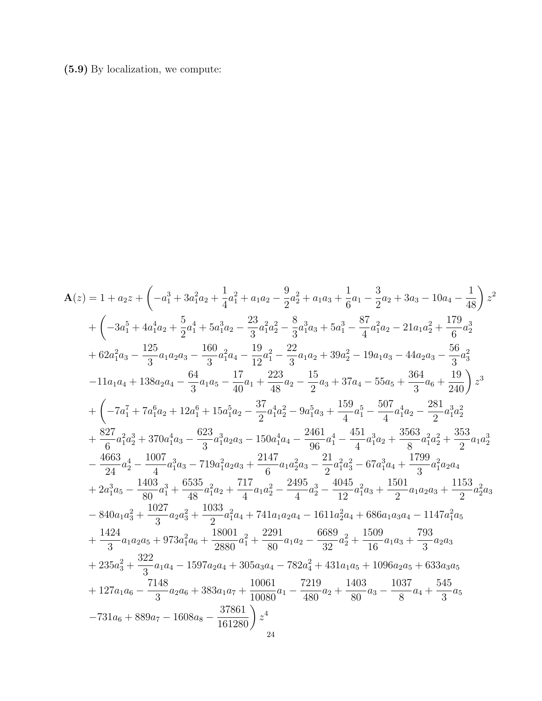# (5.9) By localization, we compute:

$$
\begin{split} \mathbf{A}(z)&=1+a_{2}z+\left(-a_{1}^{3}+3a_{1}^{2}a_{2}+\frac{1}{4}a_{1}^{2}+a_{1}a_{2}-\frac{9}{2}a_{2}^{2}+a_{1}a_{3}+\frac{1}{6}a_{1}-\frac{3}{2}a_{2}+3a_{3}-10a_{4}-\frac{1}{48}\right)z^{2}\\ &+\left(-3a_{1}^{5}+4a_{1}^{4}a_{2}+\frac{5}{2}a_{1}^{4}+5a_{1}^{3}a_{2}-\frac{23}{3}a_{1}^{2}a_{2}^{2}-\frac{8}{3}a_{1}^{3}a_{3}+5a_{1}^{3}-\frac{87}{4}a_{1}^{2}a_{2}-21a_{1}a_{2}^{2}+\frac{179}{6}a_{2}^{3}\\ &+62a_{1}^{2}a_{3}-\frac{125}{3}a_{1}a_{2}a_{3}-\frac{160}{3}a_{1}^{2}a_{4}-\frac{19}{12}a_{1}^{2}-\frac{22}{3}a_{1}a_{2}+39a_{2}^{2}-19a_{1}a_{3}-44a_{2}a_{3}-\frac{56}{3}a_{3}^{2}\\ &-11a_{1}a_{4}+138a_{2}a_{4}-\frac{64}{3}a_{1}a_{5}-\frac{17}{40}a_{1}+\frac{223}{48}a_{2}-\frac{15}{2}a_{3}+37a_{4}-55a_{5}+\frac{364}{36}a_{6}+\frac{19}{240}\right)z^{3}\\ &+\left(-7a_{1}^{7}+7a_{1}^{6}a_{2}+12a_{1}^{6}+15a_{1}^{5}a_{2}-\frac{37}{2}a_{1}^{4}a_{2}^{2}-9a_{1}^{5}a_{3}+\frac{159}{4}a_{1}^{5}-\frac{507}{4}a_{1}^{4}a_{2}-\frac{281}{2}a_{1}^{3}a_{2}^{2}\\ &+\frac{827}{6}a_{1}^{2}a_{2}^{3}+370a_{1}^{4}a_{3}-\frac{623}{3}a_{1}^{3}a_{2}a_{3}-150a_{1}^{4}a_{4}-
$$